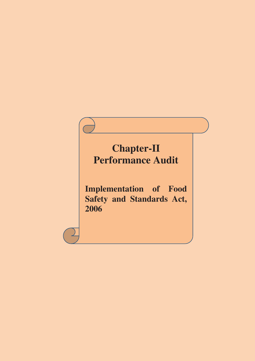# **Chapter-II Performance Audit**

**Implementation of Food Safety and Standards Act, 2006**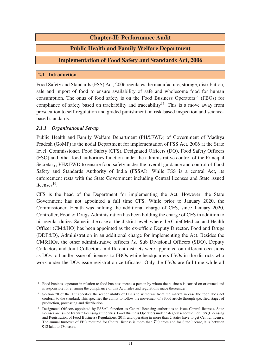# **Chapter-II: Performance Audit**

# **Public Health and Family Welfare Department**

### **Implementation of Food Safety and Standards Act, 2006**

#### **2.1 Introduction**

Food Safety and Standards (FSS) Act, 2006 regulates the manufacture, storage, distribution, sale and import of food to ensure availability of safe and wholesome food for human consumption. The onus of food safety is on the Food Business Operators<sup>14</sup> (FBOs) for compliance of safety based on trackability and traceability<sup>15</sup>. This is a move away from prosecution to self-regulation and graded punishment on risk-based inspection and sciencebased standards.

#### *2.1.1 Organisational Set-up*

 $\overline{a}$ 

Public Health and Family Welfare Department (PH&FWD) of Government of Madhya Pradesh (GoMP) is the nodal Department for implementation of FSS Act, 2006 at the State level. Commissioner, Food Safety (CFS), Designated Officers (DO), Food Safety Officers (FSO) and other food authorities function under the administrative control of the Principal Secretary, PH&FWD to ensure food safety under the overall guidance and control of Food Safety and Standards Authority of India (FSSAI). While FSS is a central Act, its enforcement rests with the State Government including Central licenses and State issued licenses $^{16}$ .

CFS is the head of the Department for implementing the Act. However, the State Government has not appointed a full time CFS. While prior to January 2020, the Commissioner, Health was holding the additional charge of CFS, since January 2020, Controller, Food & Drugs Administration has been holding the charge of CFS in addition to his regular duties. Same is the case at the district level, where the Chief Medical and Health Officer (CM&HO) has been appointed as the ex-officio Deputy Director, Food and Drugs (DDF&D), Administration in an additional charge for implementing the Act. Besides the CM&HOs, the other administrative officers *i.e.* Sub Divisional Officers (SDO), Deputy Collectors and Joint Collectors in different districts were appointed on different occasions as DOs to handle issue of licenses to FBOs while headquarters FSOs in the districts who work under the DOs issue registration certificates. Only the FSOs are full time while all

<sup>&</sup>lt;sup>14</sup> Food business operator in relation to food business means a person by whom the business is carried on or owned and is responsible for ensuring the compliance of this Act, rules and regulations made thereunder.

<sup>&</sup>lt;sup>15</sup> Section 28 of the Act specifies the responsibility of FBOs to withdraw from the market in case the food does not conform to the standard. This specifies the ability to follow the movement of a food article through specified stages of production, processing and distribution.

<sup>&</sup>lt;sup>16</sup> Designated Officers appointed by FSSAI, function as Central licensing authorities to issue Central licenses. State licenses are issued by State licensing authorities. Food Business Operators under category schedule 1 of FSS (Licensing and Registration of Food Business) Regulations, 2011 and operating in more than 2 states have to get Central license. The annual turnover of FBO required for Central license is more than  $\overline{3}30$  crore and for State license, it is between ₹12 lakh to ₹30 crore.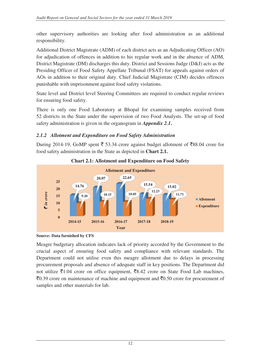other supervisory authorities are looking after food administration as an additional responsibility.

Additional District Magistrate (ADM) of each district acts as an Adjudicating Officer (AO) for adjudication of offences in addition to his regular work and in the absence of ADM, District Magistrate (DM) discharges this duty. District and Sessions Judge (D&J) acts as the Presiding Officer of Food Safety Appellate Tribunal (FSAT) for appeals against orders of AOs in addition to their original duty. Chief Judicial Magistrate (CJM) decides offences punishable with imprisonment against food safety violations.

State level and District level Steering Committees are required to conduct regular reviews for ensuring food safety.

There is only one Food Laboratory at Bhopal for examining samples received from 52 districts in the State under the supervision of two Food Analysts. The set-up of food safety administration is given in the organogram in *Appendix 2.1***.** 

# *2.1.2 Allotment and Expenditure on Food Safety Administration*

During 2014-19, GoMP spent  $\bar{\xi}$  53.34 crore against budget allotment of  $\bar{\xi}$ 88.04 crore for food safety administration in the State as depicted in **Chart 2.1.** 





Meagre budgetary allocation indicates lack of priority accorded by the Government to the crucial aspect of ensuring food safety and compliance with relevant standards. The Department could not utilise even this meagre allotment due to delays in processing procurement proposals and absence of adequate staff in key positions. The Department did not utilize  $\bar{\mathfrak{e}} 1.04$  crore on office equipment,  $\bar{\mathfrak{e}} 8.42$  crore on State Food Lab machines,  $\bar{c}$ 0.39 crore on maintenance of machine and equipment and  $\bar{c}$ 0.50 crore for procurement of samples and other materials for lab.

**Source: Data furnished by CFS**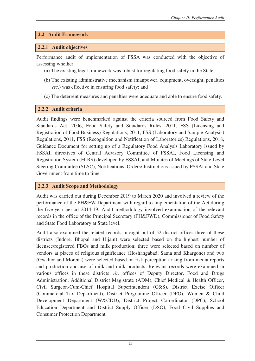#### **2.2 Audit Framework**

#### **2.2.1 Audit objectives**

Performance audit of implementation of FSSA was conducted with the objective of assessing whether:

- (a) The existing legal framework was robust for regulating food safety in the State;
- (b) The existing administrative mechanism (manpower, equipment, oversight, penalties *etc*.) was effective in ensuring food safety; and
- (c) The deterrent measures and penalties were adequate and able to ensure food safety.

#### **2.2.2 Audit criteria**

Audit findings were benchmarked against the criteria sourced from Food Safety and Standards Act, 2006, Food Safety and Standards Rules, 2011, FSS (Licensing and Registration of Food Business) Regulations, 2011, FSS (Laboratory and Sample Analysis) Regulations, 2011, FSS (Recognition and Notification of Laboratories) Regulations, 2018, Guidance Document for setting up of a Regulatory Food Analysis Laboratory issued by FSSAI, directives of Central Advisory Committee of FSSAI, Food Licensing and Registration System (FLRS) developed by FSSAI, and Minutes of Meetings of State Level Steering Committee (SLSC), Notifications, Orders/ Instructions issued by FSSAI and State Government from time to time.

#### **2.2.3 Audit Scope and Methodology**

Audit was carried out during December 2019 to March 2020 and involved a review of the performance of the PH&FW Department with regard to implementation of the Act during the five-year period 2014-19. Audit methodology involved examination of the relevant records in the office of the Principal Secretary (PH&FWD), Commissioner of Food Safety and State Food Laboratory at State level.

Audit also examined the related records in eight out of 52 district offices-three of these districts (Indore, Bhopal and Ujjain) were selected based on the highest number of licensee/registered FBOs and milk production; three were selected based on number of vendors at places of religious significance (Hoshangabad, Satna and Khargone) and two (Gwalior and Morena) were selected based on risk perception arising from media reports and production and use of milk and milk products. Relevant records were examined in various offices in these districts *viz*. offices of Deputy Director, Food and Drugs Administration, Additional District Magistrate (ADM), Chief Medical & Health Officer, Civil Surgeon-Cum-Chief Hospital Superintendent (C&S), District Excise Officer (Commercial Tax Department), District Programme Officer (DPO), Women & Child Development Department (W&CDD), District Project Co-ordinator (DPC), School Education Department and District Supply Officer (DSO), Food Civil Supplies and Consumer Protection Department.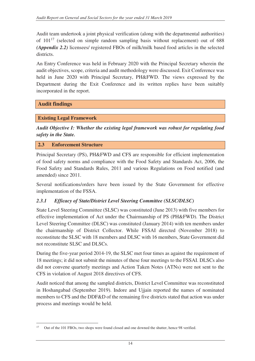Audit team undertook a joint physical verification (along with the departmental authorities) of 101<sup>17</sup> (selected on simple random sampling basis without replacement) out of 688 *(Appendix 2.2)* licensees/ registered FBOs of milk/milk based food articles in the selected districts.

An Entry Conference was held in February 2020 with the Principal Secretary wherein the audit objectives, scope, criteria and audit methodology were discussed. Exit Conference was held in June 2020 with Principal Secretary, PH&FWD. The views expressed by the Department during the Exit Conference and its written replies have been suitably incorporated in the report.

# **Audit findings**

#### **Existing Legal Framework**

*Audit Objective I: Whether the existing legal framework was robust for regulating food safety in the State.* 

#### **2.3 Enforcement Structure**

Principal Secretary (PS), PH&FWD and CFS are responsible for efficient implementation of food safety norms and compliance with the Food Safety and Standards Act, 2006, the Food Safety and Standards Rules, 2011 and various Regulations on Food notified (and amended) since 2011.

Several notifications/orders have been issued by the State Government for effective implementation of the FSSA.

# *2.3.1 Efficacy of State/District Level Steering Committee (SLSC/DLSC)*

State Level Steering Committee (SLSC) was constituted (June 2013) with five members for effective implementation of Act under the Chairmanship of PS (PH&FWD). The District Level Steering Committee (DLSC) was constituted (January 2014) with ten members under the chairmanship of District Collector. While FSSAI directed (November 2018) to reconstitute the SLSC with 18 members and DLSC with 16 members, State Government did not reconstitute SLSC and DLSCs.

During the five-year period 2014-19, the SLSC met four times as against the requirement of 18 meetings; it did not submit the minutes of these four meetings to the FSSAI. DLSCs also did not convene quarterly meetings and Action Taken Notes (ATNs) were not sent to the CFS in violation of August 2018 directives of CFS.

Audit noticed that among the sampled districts, District Level Committee was reconstituted in Hoshangabad (September 2019). Indore and Ujjain reported the names of nominated members to CFS and the DDF&D of the remaining five districts stated that action was under process and meetings would be held.

 $\overline{a}$ 17 Out of the 101 FBOs, two shops were found closed and one downed the shutter, hence 98 verified.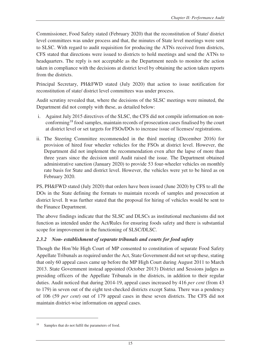Commissioner, Food Safety stated (February 2020) that the reconstitution of State/ district level committees was under process and that, the minutes of State level meetings were sent to SLSC. With regard to audit requisition for producing the ATNs received from districts, CFS stated that directions were issued to districts to hold meetings and send the ATNs to headquarters. The reply is not acceptable as the Department needs to monitor the action taken in compliance with the decisions at district level by obtaining the action taken reports from the districts.

Principal Secretary, PH&FWD stated (July 2020) that action to issue notification for reconstitution of state/ district level committees was under process.

Audit scrutiny revealed that, where the decisions of the SLSC meetings were minuted, the Department did not comply with these, as detailed below:

- i. Against July 2015 directives of the SLSC, the CFS did not compile information on nonconforming<sup>18</sup> food samples, maintain records of prosecution cases finalised by the court at district level or set targets for FSOs/DOs to increase issue of licenses/ registrations.
- ii. The Steering Committee recommended in the third meeting (December 2016) for provision of hired four wheeler vehicles for the FSOs at district level. However, the Department did not implement the recommendation even after the lapse of more than three years since the decision until Audit raised the issue. The Department obtained administrative sanction (January 2020) to provide 53 four-wheeler vehicles on monthly rate basis for State and district level. However, the vehicles were yet to be hired as on February 2020.

PS, PH&FWD stated (July 2020) that orders have been issued (June 2020) by CFS to all the DOs in the State defining the formats to maintain records of samples and prosecution at district level. It was further stated that the proposal for hiring of vehicles would be sent to the Finance Department.

The above findings indicate that the SLSC and DLSCs as institutional mechanisms did not function as intended under the Act/Rules for ensuring foods safety and there is substantial scope for improvement in the functioning of SLSC/DLSC.

# *2.3.2 Non- establishment of separate tribunals and courts for food safety*

Though the Hon'ble High Court of MP consented to constitution of separate Food Safety Appellate Tribunals as required under the Act, State Government did not set up these, stating that only 60 appeal cases came up before the MP High Court during August 2011 to March 2013. State Government instead appointed (October 2013) District and Sessions judges as presiding officers of the Appellate Tribunals in the districts, in addition to their regular duties. Audit noticed that during 2014-19, appeal cases increased by 416 *per cent* (from 43 to 179) in seven out of the eight test-checked districts except Satna. There was a pendency of 106 (59 *per cent*) out of 179 appeal cases in these seven districts. The CFS did not maintain district-wise information on appeal cases.

 $\overline{a}$ 

Samples that do not fulfil the parameters of food.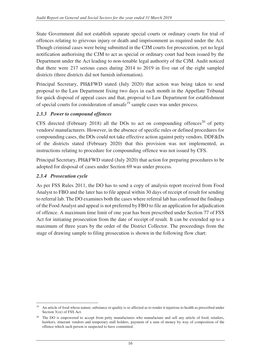State Government did not establish separate special courts or ordinary courts for trial of offences relating to grievous injury or death and imprisonment as required under the Act. Though criminal cases were being submitted in the CJM courts for prosecution, yet no legal notification authorising the CJM to act as special or ordinary court had been issued by the Department under the Act leading to non-tenable legal authority of the CJM. Audit noticed that there were 217 serious cases during 2014 to 2019 in five out of the eight sampled districts (three districts did not furnish information).

Principal Secretary, PH&FWD stated (July 2020) that action was being taken to send proposal to the Law Department fixing two days in each month in the Appellate Tribunal for quick disposal of appeal cases and that, proposal to Law Department for establishment of special courts for consideration of unsafe<sup>19</sup> sample cases was under process.

#### *2.3.3 Power to compound offences*

CFS directed (February 2018) all the DOs to act on compounding offences<sup>20</sup> of petty vendors/ manufacturers. However, in the absence of specific rules or defined procedures for compounding cases, the DOs could not take effective action against petty vendors. DDF&Ds of the districts stated (February 2020) that this provision was not implemented, as instructions relating to procedure for compounding offence was not issued by CFS.

Principal Secretary, PH&FWD stated (July 2020) that action for preparing procedures to be adopted for disposal of cases under Section 69 was under process.

#### *2.3.4 Prosecution cycle*

As per FSS Rules 2011, the DO has to send a copy of analysis report received from Food Analyst to FBO and the later has to file appeal within 30 days of receipt of result for sending to referral lab. The DO examines both the cases where referral lab has confirmed the findings of the Food Analyst and appeal is not preferred by FBO to file an application for adjudication of offence. A maximum time limit of one year has been prescribed under Section 77 of FSS Act for initiating prosecution from the date of receipt of result. It can be extended up to a maximum of three years by the order of the District Collector. The proceedings from the stage of drawing sample to filing prosecution is shown in the following flow chart:

 $\overline{a}$ <sup>19</sup> An article of food whose nature, substance or quality is so affected as to render it injurious to health as prescribed under Section 3(zz) of FSS Act.

<sup>&</sup>lt;sup>20</sup> The DO is empowered to accept from petty manufactures who manufacture and sell any article of food, retailers, hawkers, itinerant vendors and temporary stall holders, payment of a sum of money by way of composition of the offence which such person is suspected to have committed.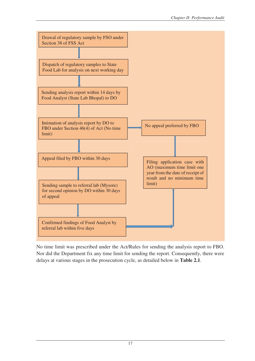

No time limit was prescribed under the Act/Rules for sending the analysis report to FBO. Nor did the Department fix any time limit for sending the report. Consequently, there were delays at various stages in the prosecution cycle, as detailed below in **Table 2.1**.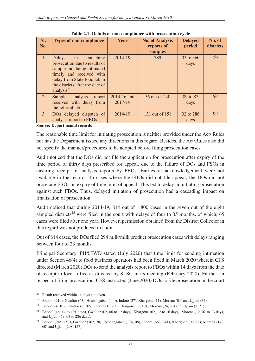| SI.<br>No.  | <b>Types of non-compliance</b>                                                                                                                                                                                                                                                                     | Year                   | <b>No. of Analysis</b><br>reports of | <b>Delayed</b><br>period | No. of<br>districts |
|-------------|----------------------------------------------------------------------------------------------------------------------------------------------------------------------------------------------------------------------------------------------------------------------------------------------------|------------------------|--------------------------------------|--------------------------|---------------------|
| 4           | in launching<br>Delays<br>prosecution due to results of<br>samples not being intimated<br>timely and received with<br>delay from State food lab in<br>the districts after the date of<br>analysis $21$                                                                                             | 2014-19                | samples<br>789                       | 05 to 360<br>days        | $7^{22}$            |
| $2^{\circ}$ | Sample<br>analysis<br>report<br>received with delay from<br>the referral lab                                                                                                                                                                                                                       | 2014-16 and<br>2017-19 | 56 out of 240                        | 09 to 87<br>days         | $6^{23}$            |
| 3           | DO <sub>s</sub> delayed dispatch of<br>analysis report to FBOs<br>$\mathbf{r}$ , and the set of the set of the set of the set of the set of the set of the set of the set of the set of the set of the set of the set of the set of the set of the set of the set of the set of the set of the set | 2014-19                | 131 out of 158                       | 02 to 286<br>days        | $5^{24}$            |

**Table 2.1: Details of non-compliance with prosecution cycle** 

**Source: Departmental records** 

The reasonable time limit for initiating prosecution is neither provided under the Act/ Rules nor has the Department issued any directions in this regard. Besides, the Act/Rules also did not specify the manner/procedures to be adopted before filing prosecution cases.

Audit noticed that the DOs did not file the application for prosecution after expiry of the time period of thirty days prescribed for appeal, due to the failure of DOs and FSOs in ensuring receipt of analysis reports by FBOs. Entries of acknowledgement were not available in the records. In cases where the FBOs did not file appeal, the DOs did not prosecute FBOs on expiry of time limit of appeal. This led to delay in initiating prosecution against such FBOs. Thus, delayed initiation of prosecution had a cascading impact on finalisation of prosecution.

Audit noticed that during 2014-19, 814 out of 1,800 cases in the seven out of the eight sampled districts<sup>25</sup> were filed in the court with delays of four to 35 months, of which, 65 cases were filed after one year. However, permission obtained from the District Collector in this regard was not produced to audit.

Out of 814 cases, the DOs filed 294 milk/milk product prosecution cases with delays ranging between four to 23 months.

Principal Secretary, PH&FWD stated (July 2020) that time limit for sending intimation under Section 46(4) to food business operators had been fixed in March 2020 wherein CFS directed (March 2020) DOs to send the analysis report to FBOs within 14 days from the date of receipt in local office as directed by SLSC in its meeting (February 2020). Further, in respect of filing prosecution, CFS instructed (June 2020) DOs to file prosecution in the court

 $\overline{a}$ <sup>21</sup> Result received within 14 days not taken.

<sup>&</sup>lt;sup>22</sup> Bhopal (210), Gwalior (63), Hoshangabad (440), Indore (27), Khargone (11), Morena (04) and Ujjain (34).

<sup>23</sup> Bhopal (4, 10), Gwalior (8, 105), Indore (10, 61), Khargone (7, 10), Morena (24, 33) and Ujjain (3, 21).

<sup>&</sup>lt;sup>24</sup> Bhopal (46, 14 to 191 days), Gwalior (02, 06 to 12 days), Khargone (02, 12 to 16 days), Morena (12, 02 to 13 days) and Ujjain (69, 03 to 286 days).

<sup>25</sup> Bhopal (245, 153), Gwalior (362, 78), Hoshangabad (174, 08), Indore (663, 341), Khargone (00, 17), Morena (148, 60) and Ujjain (208, 157).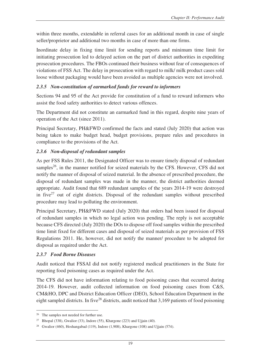within three months, extendable in referral cases for an additional month in case of single seller/proprietor and additional two months in case of more than one firms.

Inordinate delay in fixing time limit for sending reports and minimum time limit for initiating prosecution led to delayed action on the part of district authorities in expediting prosecution procedures. The FBOs continued their business without fear of consequences of violations of FSS Act. The delay in prosecution with regard to milk/ milk product cases sold loose without packaging would have been avoided as multiple agencies were not involved.

#### *2.3.5 Non-constitution of earmarked funds for reward to informers*

Sections 94 and 95 of the Act provide for constitution of a fund to reward informers who assist the food safety authorities to detect various offences.

The Department did not constitute an earmarked fund in this regard, despite nine years of operation of the Act (since 2011).

Principal Secretary, PH&FWD confirmed the facts and stated (July 2020) that action was being taken to make budget head, budget provisions, prepare rules and procedures in compliance to the provisions of the Act.

# *2.3.6 Non-disposal of redundant samples*

As per FSS Rules 2011, the Designated Officer was to ensure timely disposal of redundant samples<sup>26</sup>, in the manner notified for seized materials by the CFS. However, CFS did not notify the manner of disposal of seized material. In the absence of prescribed procedure, the disposal of redundant samples was made in the manner, the district authorities deemed appropriate. Audit found that 689 redundant samples of the years 2014-19 were destroyed in five<sup>27</sup> out of eight districts. Disposal of the redundant samples without prescribed procedure may lead to polluting the environment.

Principal Secretary, PH&FWD stated (July 2020) that orders had been issued for disposal of redundant samples in which no legal action was pending. The reply is not acceptable because CFS directed (July 2020) the DOs to dispose off food samples within the prescribed time limit fixed for different cases and disposal of seized materials as per provision of FSS Regulations 2011. He, however, did not notify the manner/ procedure to be adopted for disposal as required under the Act.

#### *2.3.7 Food Borne Diseases*

Audit noticed that FSSAI did not notify registered medical practitioners in the State for reporting food poisoning cases as required under the Act.

The CFS did not have information relating to food poisoning cases that occurred during 2014-19. However, audit collected information on food poisoning cases from C&S, CM&HO, DPC and District Education Officer (DEO), School Education Department in the eight sampled districts. In five<sup>28</sup> districts, audit noticed that 3,169 patients of food poisoning

 $\overline{a}$ <sup>26</sup> The samples not needed for further use.

<sup>&</sup>lt;sup>27</sup> Bhopal (338), Gwalior (33), Indore (55), Khargone (223) and Ujjain (40).

Gwalior (460), Hoshangabad (119), Indore (1,908), Khargone (108) and Ujjain (574).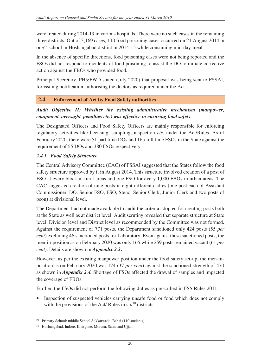were treated during 2014-19 in various hospitals. There were no such cases in the remaining three districts. Out of 3,169 cases, 110 food poisoning cases occurred on 21 August 2014 in one<sup>29</sup> school in Hoshangabad district in 2014-15 while consuming mid-day-meal.

In the absence of specific directions, food poisoning cases were not being reported and the FSOs did not respond to incidents of food poisoning to assist the DO to initiate corrective action against the FBOs who provided food.

Principal Secretary, PH&FWD stated (July 2020) that proposal was being sent to FSSAI, for issuing notification authorising the doctors as required under the Act.

# **2.4 Enforcement of Act by Food Safety authorities**

*Audit Objective II: Whether the existing administrative mechanism (manpower, equipment, oversight, penalties etc.) was effective in ensuring food safety.* 

The Designated Officers and Food Safety Officers are mainly responsible for enforcing regulatory activities like licensing, sampling, inspection *etc*. under the Act/Rules. As of February 2020, there were 51 part time DOs and 165 full time FSOs in the State against the requirement of 55 DOs and 380 FSOs respectively.

#### *2.4.1 Food Safety Structure*

The Central Advisory Committee (CAC) of FSSAI suggested that the States follow the food safety structure approved by it in August 2014. This structure involved creation of a post of FSO at every block in rural areas and one FSO for every 1,000 FBOs in urban areas. The CAC suggested creation of nine posts in eight different cadres (one post each of Assistant Commissioner, DO, Senior FSO, FSO, Steno, Senior Clerk, Junior Clerk and two posts of peon) at divisional level**.**

The Department had not made available to audit the criteria adopted for creating posts both at the State as well as at district level. Audit scrutiny revealed that separate structure at State level, Division level and District level as recommended by the Committee was not formed. Against the requirement of 771 posts, the Department sanctioned only 424 posts (55 *per cent*) excluding 46 sanctioned posts for Laboratory. Even against these sanctioned posts, the men-in-position as on February 2020 was only 165 while 259 posts remained vacant (61 *per cent*). Details are shown in *Appendix 2.3***.**

However, as per the existing manpower position under the food safety set-up, the men-inposition as on February 2020 was 174 (37 *per cent*) against the sanctioned strength of 470 as shown in *Appendix 2.4.* Shortage of FSOs affected the drawal of samples and impacted the coverage of FBOs.

Further, the FSOs did not perform the following duties as prescribed in FSS Rules 2011:

• Inspection of suspected vehicles carrying unsafe food or food which does not comply with the provisions of the Act/ Rules in  $six^{30}$  districts.

 $\overline{a}$ <sup>29</sup> Primary School/ middle School Sukkarwada, Babai (110 students).

Hoshangabad, Indore, Khargone, Morena, Satna and Ujjain.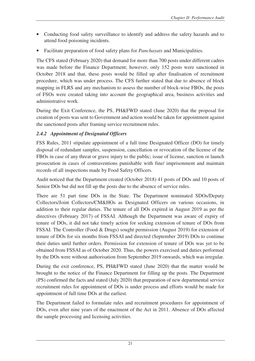- Conducting food safety surveillance to identify and address the safety hazards and to attend food poisoning incidents.
- Facilitate preparation of food safety plans for *Panchayats* and Municipalities.

The CFS stated (February 2020) that demand for more than 700 posts under different cadres was made before the Finance Department; however, only 152 posts were sanctioned in October 2018 and that, these posts would be filled up after finalisation of recruitment procedure, which was under process. The CFS further stated that due to absence of block mapping in FLRS and any mechanism to assess the number of block-wise FBOs, the posts of FSOs were created taking into account the geographical area, business activities and administrative work.

During the Exit Conference, the PS, PH&FWD stated (June 2020) that the proposal for creation of posts was sent to Government and action would be taken for appointment against the sanctioned posts after framing service recruitment rules.

# *2.4.2 Appointment of Designated Officers*

FSS Rules, 2011 stipulate appointment of a full time Designated Officer (DO) for timely disposal of redundant samples, suspension, cancellation or revocation of the license of the FBOs in case of any threat or grave injury to the public; issue of license, sanction or launch prosecution in cases of contraventions punishable with fine/ imprisonment and maintain records of all inspections made by Food Safety Officers.

Audit noticed that the Department created (October 2018) 41 posts of DOs and 10 posts of Senior DOs but did not fill up the posts due to the absence of service rules.

There are 51 part time DOs in the State. The Department nominated SDOs/Deputy Collectors/Joint Collectors/CM&HOs as Designated Officers on various occasions, in addition to their regular duties. The tenure of all DOs expired in August 2019 as per the directives (February 2017) of FSSAI. Although the Department was aware of expiry of tenure of DOs, it did not take timely action for seeking extension of tenure of DOs from FSSAI. The Controller (Food & Drugs) sought permission (August 2019) for extension of tenure of DOs for six months from FSSAI and directed (September 2019) DOs to continue their duties until further orders. Permission for extension of tenure of DOs was yet to be obtained from FSSAI as of October 2020. Thus, the powers exercised and duties performed by the DOs were without authorisation from September 2019 onwards, which was irregular.

During the exit conference, PS, PH&FWD stated (June 2020) that the matter would be brought to the notice of the Finance Department for filling up the posts. The Department (PS) confirmed the facts and stated (July 2020) that preparation of new departmental service recruitment rules for appointment of DOs is under process and efforts would be made for appointment of full time DOs at the earliest.

The Department failed to formulate rules and recruitment procedures for appointment of DOs, even after nine years of the enactment of the Act in 2011. Absence of DOs affected the sample processing and licensing activities.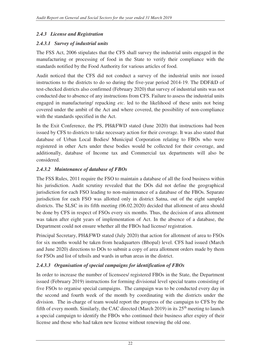# *2.4.3 License and Registration*

# *2.4.3.1 Survey of industrial units*

The FSS Act, 2006 stipulates that the CFS shall survey the industrial units engaged in the manufacturing or processing of food in the State to verify their compliance with the standards notified by the Food Authority for various articles of food.

Audit noticed that the CFS did not conduct a survey of the industrial units nor issued instructions to the districts to do so during the five-year period 2014-19. The DDF&D of test-checked districts also confirmed (February 2020) that survey of industrial units was not conducted due to absence of any instructions from CFS. Failure to assess the industrial units engaged in manufacturing/ repacking *etc*. led to the likelihood of these units not being covered under the ambit of the Act and where covered, the possibility of non-compliance with the standards specified in the Act.

In the Exit Conference, the PS, PH&FWD stated (June 2020) that instructions had been issued by CFS to districts to take necessary action for their coverage. It was also stated that database of Urban Local Bodies/ Municipal Corporation relating to FBOs who were registered in other Acts under these bodies would be collected for their coverage, and additionally, database of Income tax and Commercial tax departments will also be considered.

# *2.4.3.2 Maintenance of database of FBOs*

The FSS Rules, 2011 require the FSO to maintain a database of all the food business within his jurisdiction. Audit scrutiny revealed that the DOs did not define the geographical jurisdiction for each FSO leading to non-maintenance of a database of the FBOs. Separate jurisdiction for each FSO was allotted only in district Satna, out of the eight sampled districts. The SLSC in its fifth meeting (06.02.2020) decided that allotment of area should be done by CFS in respect of FSOs every six months. Thus, the decision of area allotment was taken after eight years of implementation of Act. In the absence of a database, the Department could not ensure whether all the FBOs had license/ registration.

Principal Secretary, PH&FWD stated (July 2020) that action for allotment of area to FSOs for six months would be taken from headquarters (Bhopal) level. CFS had issued (March and June 2020) directions to DOs to submit a copy of area allotment orders made by them for FSOs and list of tehsils and wards in urban areas in the district.

# *2.4.3.3 Organisation of special campaigns for identification of FBOs*

In order to increase the number of licensees/ registered FBOs in the State, the Department issued (February 2019) instructions for forming divisional level special teams consisting of five FSOs to organise special campaigns. The campaign was to be conducted every day in the second and fourth week of the month by coordinating with the districts under the division. The in-charge of team would report the progress of the campaign to CFS by the fifth of every month. Similarly, the CAC directed (March 2019) in its  $25<sup>th</sup>$  meeting to launch a special campaign to identify the FBOs who continued their business after expiry of their license and those who had taken new license without renewing the old one.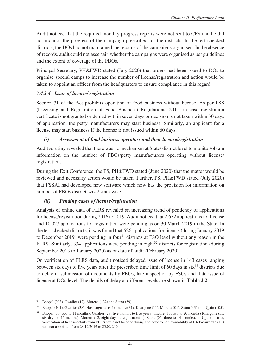Audit noticed that the required monthly progress reports were not sent to CFS and he did not monitor the progress of the campaign prescribed for the districts. In the test-checked districts, the DOs had not maintained the records of the campaigns organised. In the absence of records, audit could not ascertain whether the campaigns were organised as per guidelines and the extent of coverage of the FBOs.

Principal Secretary, PH&FWD stated (July 2020) that orders had been issued to DOs to organise special camps to increase the number of license/registration and action would be taken to appoint an officer from the headquarters to ensure compliance in this regard.

#### *2.4.3.4 Issue of license/ registration*

Section 31 of the Act prohibits operation of food business without license. As per FSS (Licensing and Registration of Food Business) Regulations, 2011, in case registration certificate is not granted or denied within seven days or decision is not taken within 30 days of application, the petty manufacturers may start business. Similarly, an applicant for a license may start business if the license is not issued within 60 days.

# *(i) Assessment of food business operators and their license/registration*

Audit scrutiny revealed that there was no mechanism at State/ district level to monitor/obtain information on the number of FBOs/petty manufacturers operating without license/ registration.

During the Exit Conference, the PS, PH&FWD stated (June 2020) that the matter would be reviewed and necessary action would be taken. Further, PS, PH&FWD stated (July 2020) that FSSAI had developed new software which now has the provision for information on number of FBOs district-wise/ state-wise.

# *(ii) Pending cases of license/registration*

Analysis of online data of FLRS revealed an increasing trend of pendency of applications for license/registration during 2016 to 2019. Audit noticed that 2,672 applications for license and 10,027 applications for registration were pending as on 30 March 2019 in the State. In the test-checked districts, it was found that 526 applications for license (during January 2019 to December 2019) were pending in four<sup>31</sup> districts at FSO level without any reason in the FLRS. Similarly, 334 applications were pending in eight<sup>32</sup> districts for registration (during September 2013 to January 2020) as of date of audit (February 2020).

On verification of FLRS data, audit noticed delayed issue of license in 143 cases ranging between six days to five years after the prescribed time limit of 60 days in  $\sin^{33}$  districts due to delay in submission of documents by FBOs, late inspection by FSOs and late issue of license at DOs level. The details of delay at different levels are shown in **Table 2.2**.

 $\overline{a}$  $31$  Bhopal (303), Gwalior (12), Morena (132) and Satna (79).

<sup>32</sup> Bhopal (101), Gwalior (38), Hoshangabad (04), Indore (31), Khargone (11), Morena (01), Satna (43) and Ujjain (105).

<sup>33</sup> Bhopal (30, two to 11 months), Gwalior (28, five months to five years), Indore (13, two to 20 months) Khargone (55, six days to 15 months), Morena (12, eight days to eight months), Satna (05, three to 14 months). In Ujjain district, verification of license details from FLRS could not be done during audit due to non-availability of ID/ Password as DO was not appointed from 28.12.2019 to 25.02.2020.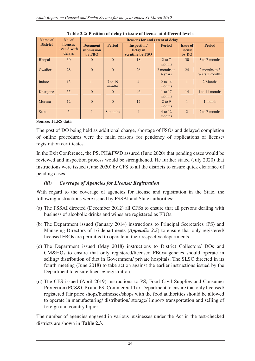| Name of         | No. of                                   |                                         | <b>Reasons for and extent of delay</b> |                                                    |                        |                                     |                                 |  |
|-----------------|------------------------------------------|-----------------------------------------|----------------------------------------|----------------------------------------------------|------------------------|-------------------------------------|---------------------------------|--|
| <b>District</b> | <b>licenses</b><br>issued with<br>delays | <b>Document</b><br>submission<br>by FBO | <b>Period</b>                          | <b>Inspection</b> /<br>Delay in<br>scrutiny by FSO | <b>Period</b>          | <b>Issue of</b><br>license<br>by DO | <b>Period</b>                   |  |
| Bhopal          | 30                                       | $\theta$                                | $\Omega$                               | 18                                                 | $2$ to $7$<br>months   | 30                                  | 3 to 7 months                   |  |
| Gwalior         | 28                                       | $\Omega$                                | $\Omega$                               | 26                                                 | 2 months to<br>4 years | 24                                  | 2 months to 3<br>years 5 months |  |
| Indore          | 13                                       | 11                                      | 7 to 19<br>months                      | $\overline{4}$                                     | 2 to 14<br>months      | $\mathbf{1}$                        | 2 Months                        |  |
| Khargone        | 55                                       | $\Omega$                                | $\Omega$                               | 46                                                 | 1 to 17<br>months      | 14                                  | 1 to 11 months                  |  |
| Morena          | 12                                       | $\Omega$                                | $\Omega$                               | 12                                                 | $2$ to 9<br>months     | $\mathbf{1}$                        | 1 month                         |  |
| Satna           | 5                                        | $\mathbf{1}$                            | 8 months                               | $\overline{4}$                                     | 4 to 12<br>months      | $\overline{2}$                      | 2 to 7 months                   |  |

**Table 2.2: Position of delay in issue of license at different levels**

#### **Source: FLRS data**

The post of DO being held as additional charge, shortage of FSOs and delayed completion of online procedures were the main reasons for pendency of applications of license/ registration certificates.

In the Exit Conference, the PS, PH&FWD assured (June 2020) that pending cases would be reviewed and inspection process would be strengthened. He further stated (July 2020) that instructions were issued (June 2020) by CFS to all the districts to ensure quick clearance of pending cases.

### *(iii) Coverage of Agencies for License/ Registration*

With regard to the coverage of agencies for license and registration in the State, the following instructions were issued by FSSAI and State authorities:

- (a) The FSSAI directed (December 2012) all CFSs to ensure that all persons dealing with business of alcoholic drinks and wines are registered as FBOs.
- (b) The Department issued (January 2014) instructions to Principal Secretaries (PS) and Managing Directors of 16 departments **(***Appendix 2.5***)** to ensure that only registered/ licensed FBOs are permitted to operate in their respective departments.
- (c) The Department issued (May 2018) instructions to District Collectors/ DOs and CM&HOs to ensure that only registered/licensed FBOs/agencies should operate in selling/ distribution of diet in Government/ private hospitals. The SLSC directed in its fourth meeting (June 2018) to take action against the earlier instructions issued by the Department to ensure license/ registration.
- (d) The CFS issued (April 2019) instructions to PS, Food Civil Supplies and Consumer Protection (FCS&CP) and PS, Commercial Tax Department to ensure that only licensed/ registered fair price shops/businesses/shops with the food authorities should be allowed to operate in manufacturing/ distribution/ storage/ import/ transportation and selling of foreign and country liquor.

The number of agencies engaged in various businesses under the Act in the test-checked districts are shown in **Table 2.3**.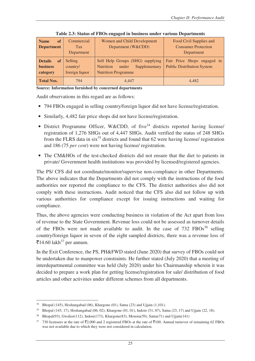| of<br><b>Name</b>           | Commercial     | Women and Child Development                | Food Civil Supplies and           |  |  |
|-----------------------------|----------------|--------------------------------------------|-----------------------------------|--|--|
| <b>Department</b>           | <b>Tax</b>     | Department (W&CDD)                         | <b>Consumer Protection</b>        |  |  |
|                             | Department     |                                            | Department                        |  |  |
| <b>Details</b><br><b>of</b> | Selling        | Self Help Groups (SHG) supplying           | Fair Price Shops engaged in       |  |  |
| <b>business</b>             | country/       | Supplementary<br><b>Nutrition</b><br>under | <b>Public Distribution System</b> |  |  |
| category                    | foreign liquor | <b>Nutrition Programme</b>                 |                                   |  |  |
| <b>Total Nos.</b>           | 794            | 4.447                                      | 4.482                             |  |  |

**Table 2.3: Status of FBOs engaged in business under various Departments** 

**Source: Information furnished by concerned departments** 

Audit observations in this regard are as follows:

- 794 FBOs engaged in selling country/foreign liquor did not have license/registration.
- Similarly, 4,482 fair price shops did not have license/registration.
- District Programme Officer, W&CDD, of five<sup>34</sup> districts reported having license/ registration of 1,276 SHGs out of 4,447 SHGs. Audit verified the status of 248 SHGs from the FLRS data in  $six^{35}$  districts and found that 62 were having license/ registration and 186 (75 *per cent*) were not having license/ registration.
- The CM&HOs of the test-checked districts did not ensure that the diet to patients in private/ Government health institutions was provided by licensed/registered agencies.

The PS/ CFS did not coordinate/monitor/supervise non-compliance in other Departments. The above indicates that the Departments did not comply with the instructions of the food authorities nor reported the compliance to the CFS. The district authorities also did not comply with these instructions. Audit noticed that the CFS also did not follow up with various authorities for compliance except for issuing instructions and waiting for compliance.

Thus, the above agencies were conducting business in violation of the Act apart from loss of revenue to the State Government. Revenue loss could not be assessed as turnover details of the FBOs were not made available to audit. In the case of  $732$  FBOs<sup>36</sup> selling country/foreign liquor in seven of the eight sampled districts, there was a revenue loss of ₹14.60 lakh<sup>37</sup> per annum.

In the Exit Conference, the PS, PH&FWD stated (June 2020) that survey of FBOs could not be undertaken due to manpower constraints. He further stated (July 2020) that a meeting of interdepartmental committee was held (July 2020) under his Chairmanship wherein it was decided to prepare a work plan for getting license/registration for sale/ distribution of food articles and other activities under different schemes from all departments.

 $\overline{a}$ <sup>34</sup> Bhopal (145), Hoshangabad (06), Khargone (01), Satna (23) and Ujjain (1,101).

<sup>35</sup> Bhopal (145, 17), Hoshangabad (06, 02), Khargone (01, 01), Indore (51, 07), Satna (23, 17) and Ujjain (22, 18).

<sup>36</sup> Bhopal(93), Gwalior(112), Indore(173), Khargone(83), Morena(59), Satna(71) and Ujjain(141)

 $37$  730 licensees at the rate of  $\overline{52,000}$  and 2 registered FBOs at the rate of  $\overline{5100}$ . Annual turnover of remaining 62 FBOs was not available due to which they were not considered in calculation.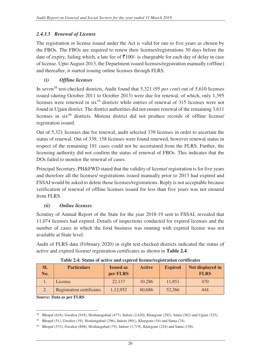# *2.4.3.5 Renewal of License*

The registration or license issued under the Act is valid for one to five years as chosen by the FBOs. The FBOs are required to renew their licenses/registrations 30 days before the date of expiry, failing which, a late fee of  $\overline{5}100/$ - is chargeable for each day of delay in case of license. Upto August 2013, the Department issued licenses/registration manually (offline) and thereafter, it started issuing online licenses through FLRS.

# *(i) Offline licenses*

In seven<sup>38</sup> test-checked districts, Audit found that 5,321 (95 *per cent*) out of 5,610 licenses issued (during October 2011 to October 2013) were due for renewal, of which, only 1,395 licenses were renewed in  $\sin^{39}$  districts while entries of renewal of 315 licenses were not found in Ujjain district. The district authorities did not ensure renewal of the remaining 3,611 licenses in six<sup>40</sup> districts. Morena district did not produce records of offline license/ registration issued.

Out of 5,321 licenses due for renewal, audit selected 339 licenses in order to ascertain the status of renewal. Out of 339, 158 licenses were found renewed, however renewal status in respect of the remaining 181 cases could not be ascertained from the FLRS. Further, the licensing authority did not confirm the status of renewal of FBOs. This indicates that the DOs failed to monitor the renewal of cases.

Principal Secretary, PH&FWD stated that the validity of license/ registration is for five years and therefore all the licenses/ registrations issued manually prior to 2013 had expired and FSSAI would be asked to delete those licenses/registrations. Reply is not acceptable because verification of renewal of offline licenses issued for less than five years was not ensured from FLRS.

# *(ii) Online licenses*

Scrutiny of Annual Report of the State for the year 2018-19 sent to FSSAI, revealed that 11,074 licenses had expired. Details of inspections conducted for expired licenses and the number of cases in which the food business was running with expired license was not available at State level.

Audit of FLRS data (February 2020) in eight test-checked districts indicated the status of active and expired license/ registration certificates as shown in **Table 2.4**.

| SI.<br>No. | <b>Particulars</b>               | <b>Issued as</b><br>per FLRS | <b>Active</b> | <b>Expired</b> | Not displayed in<br><b>FLRS</b> |
|------------|----------------------------------|------------------------------|---------------|----------------|---------------------------------|
|            | License                          | 22,137                       | 10,286        | 11,851         | 470                             |
|            | <b>Registration certificates</b> | 1,12,952                     | 60,686        | 52,266         | 444                             |

**Source: Data as per FLRS** 

 $\overline{a}$ <sup>38</sup> Bhopal (616), Gwalior (918), Hoshanagabad (477), Indore (2,620), Khargone (292), Satna (362) and Ujjain (325).

 $39$  Bhopal (51), Gwalior (19), Hoshangabad (296), Indore (901), Khargone (54) and Satna (74).

<sup>40</sup> Bhopal (533), Gwalior (898), Hoshangabad (79), Indore (1,719), Khargone (224) and Satna (158).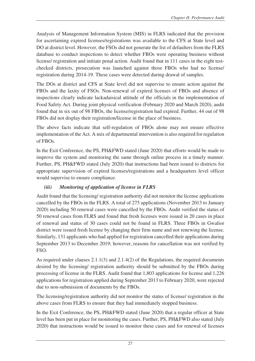Analysis of Management Information System (MIS) in FLRS indicated that the provision for ascertaining expired licenses/registrations was available to the CFS at State level and DO at district level. However, the FSOs did not generate the list of defaulters from the FLRS database to conduct inspections to detect whether FBOs were operating business without license/ registration and initiate penal action. Audit found that in 111 cases in the eight testchecked districts, prosecution was launched against those FBOs who had no license/ registration during 2014-19. These cases were detected during drawal of samples.

The DOs at district and CFS at State level did not supervise to ensure action against the FBOs and the laxity of FSOs. Non-renewal of expired licenses of FBOs and absence of inspections clearly indicate lackadaisical attitude of the officials in the implementation of Food Safety Act. During joint physical verification (February 2020 and March 2020), audit found that in six out of 98 FBOs, the license/registration had expired. Further, 44 out of 98 FBOs did not display their registration/license in the place of business.

The above facts indicate that self-regulation of FBOs alone may not ensure effective implementation of the Act. A mix of departmental intervention is also required for regulation of FBOs.

In the Exit Conference, the PS, PH&FWD stated (June 2020) that efforts would be made to improve the system and monitoring the same through online process in a timely manner. Further, PS, PH&FWD stated (July 2020) that instructions had been issued to districts for appropriate supervision of expired licenses/registrations and a headquarters level officer would supervise to ensure compliance.

# *(iii) Monitoring of application of license in FLRS*

Audit found that the licensing/ registration authority did not monitor the license applications cancelled by the FBOs in the FLRS. A total of 275 applications (November 2013 to January 2020) including 50 renewal cases were cancelled by the FBOs. Audit verified the status of 50 renewal cases from FLRS and found that fresh licenses were issued in 20 cases in place of renewal and status of 30 cases could not be found in FLRS. Three FBOs in Gwalior district were issued fresh license by changing their firm name and not renewing the license. Similarly, 131 applicants who had applied for registration cancelled their applications during September 2013 to December 2019; however, reasons for cancellation was not verified by FSO.

As required under clauses 2.1.1(3) and 2.1.4(2) of the Regulations, the required documents desired by the licensing/ registration authority should be submitted by the FBOs during processing of license in the FLRS. Audit found that 1,803 applications for license and 1,226 applications for registration applied during September 2013 to February 2020, were rejected due to non-submission of documents by the FBOs.

The licensing/registration authority did not monitor the status of license/ registration in the above cases from FLRS to ensure that they had immediately stopped business.

In the Exit Conference, the PS, PH&FWD stated (June 2020) that a regular officer at State level has been put in place for monitoring the cases. Further, PS, PH&FWD also stated (July 2020) that instructions would be issued to monitor these cases and for renewal of licenses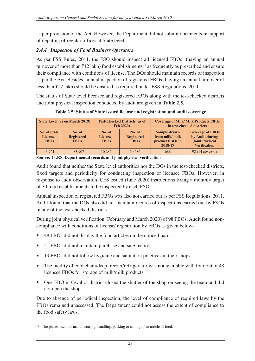as per provision of the Act. However, the Department did not submit documents in support of deputing of regular officer at State level.

#### *2.4.4 Inspection of Food Business Operators*

As per FSS Rules, 2011, the FSO should inspect all licensed FBOs' (having an annual turnover of more than  $\bar{\tau}$ 12 lakh) food establishments<sup>41</sup> as frequently as prescribed and ensure their compliance with conditions of license. The DOs should maintain records of inspection as per the Act. Besides, annual inspection of registered FBOs (having an annual turnover of less than  $\bar{\tau}$ 12 lakh) should be ensured as required under FSS Regulations, 2011.

The status of State level licensee and registered FBOs along with the test-checked districts and joint physical inspection conducted by audit are given in **Table 2.5**.

State Level (as on March 2019) Test-Checked Districts (as of **Feb 2020) Coverage of Milk/ Milk Products FBOs in test-checked districts No. of State Licensee FBOs No. of Registered FBOs No. of Licensee FBOs No. of Registered FBOs Sample drawn from milk/ milk product FBOs in 2018-19 Coverage of FBOs by Audit during Joint Physical Verification**  43,751 4,83,907 10,286 60,686 688 98 (14 per cent)

**Table 2.5: Status of State issued license and registration and audit coverage** 

**Source: FLRS, Departmental records and joint physical verification** 

Audit found that neither the State level authorities nor the DOs in the test-checked districts, fixed targets and periodicity for conducting inspection of licensee FBOs. However, in response to audit observation, CFS issued (June 2020) instructions fixing a monthly target of 30 food establishments to be inspected by each FSO.

Annual inspection of registered FBOs was also not carried out as per FSS Regulations, 2011. Audit found that the DOs also did not maintain records of inspections carried out by FSOs in any of the test-checked districts.

During joint physical verification (February and March 2020) of 98 FBOs, Audit found noncompliance with conditions of license/ registration by FBOs as given below-

- 48 FBOs did not display the food articles on the notice boards.
- 51 FBOs did not maintain purchase and sale records.
- 19 FBOs did not follow hygienic and sanitation practices in their shops.
- The facility of cold chain/deep freezer/refrigerator was not available with four out of 48 licensee FBOs for storage of milk/milk products.
- One FBO in Gwalior district closed the shutter of the shop on seeing the team and did not open the shop.

Due to absence of periodical inspection, the level of compliance of required laws by the FBOs remained unassessed. The Department could not assess the extent of compliance to the food safety laws.

 $\overline{a}$ <sup>41</sup> The places used for manufacturing, handling, packing or selling of an article of food.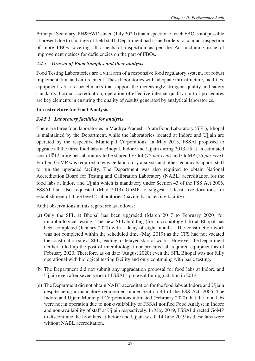Principal Secretary, PH&FWD stated (July 2020) that inspection of each FBO is not possible at present due to shortage of field staff; Department had issued orders to conduct inspection of more FBOs covering all aspects of inspection as per the Act including issue of improvement notices for deficiencies on the part of FBOs.

### *2.4.5 Drawal of Food Samples and their analysis*

Food Testing Laboratories are a vital arm of a responsive food regulatory system, for robust implementation and enforcement. These laboratories with adequate infrastructure, facilities, equipment, *etc*. are benchmarks that support the increasingly stringent quality and safety standards. Formal accreditation, operation of effective internal quality control procedures are key elements in ensuring the quality of results generated by analytical laboratories.

#### **Infrastructure for Food Analysis**

# *2.4.5.1 Laboratory facilities for analysis*

There are three food laboratories in Madhya Pradesh *-* State Food Laboratory (SFL), Bhopal is maintained by the Department, while the laboratories located at Indore and Ujjain are operated by the respective Municipal Corporations. In May 2013, FSSAI proposed to upgrade all the three food labs at Bhopal, Indore and Ujjain during 2013-15 at an estimated cost of `12 crore per laboratory to be shared by GoI (75 *per cent)* and GoMP (25 *per cent)*. Further, GoMP was required to engage laboratory analysts and other technical/support staff to run the upgraded facility. The Department was also required to obtain National Accreditation Board for Testing and Calibration Laboratory (NABL) accreditation for the food labs at Indore and Ujjain which is mandatory under Section 43 of the FSS Act 2006. FSSAI had also requested (May 2013) GoMP to suggest at least five locations for establishment of three level 2 laboratories (having basic testing facility).

Audit observations in this regard are as follows:

- (a) Only the SFL at Bhopal has been upgraded (March 2017 to February 2020) for microbiological testing. The new SFL building (for microbiology lab) at Bhopal has been completed (January 2020) with a delay of eight months. The construction work was not completed within the scheduled time (May 2019) as the CFS had not vacated the construction site at SFL, leading to delayed start of work. However, the Department neither filled up the post of microbiologist nor procured all required equipment as of February 2020. Therefore, as on date (August 2020) even the SFL Bhopal was not fully operational with biological testing facility and only continuing with basic testing.
- (b) The Department did not submit any upgradation proposal for food labs at Indore and Ujjain even after seven years of FSSAI's proposal for upgradation in 2013.
- (c) The Department did not obtain NABL accreditation for the food labs at Indore and Ujjain despite being a mandatory requirement under Section 43 of the FSS Act, 2006. The Indore and Ujjain Municipal Corporations intimated (February 2020) that the food labs were not in operation due to non-availability of FSSAI notified Food Analyst in Indore and non-availability of staff at Ujjain respectively. In May 2019, FSSAI directed GoMP to discontinue the food labs at Indore and Ujjain w.e.f. 14 June 2019 as these labs were without NABL accreditation.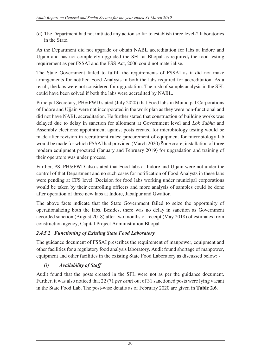(d) The Department had not initiated any action so far to establish three level-2 laboratories in the State.

As the Department did not upgrade or obtain NABL accreditation for labs at Indore and Ujjain and has not completely upgraded the SFL at Bhopal as required**,** the food testing requirement as per FSSAI and the FSS Act, 2006 could not materialise.

The State Government failed to fulfill the requirements of FSSAI as it did not make arrangements for notified Food Analysts in both the labs required for accreditation. As a result, the labs were not considered for upgradation. The rush of sample analysis in the SFL could have been solved if both the labs were accredited by NABL.

Principal Secretary, PH&FWD stated (July 2020) that Food labs in Municipal Corporations of Indore and Ujjain were not incorporated in the work plan as they were non-functional and did not have NABL accreditation. He further stated that construction of building works was delayed due to delay in sanction for allotment at Government level and *Lok Sabha* and Assembly elections; appointment against posts created for microbiology testing would be made after revision in recruitment rules; procurement of equipment for microbiology lab would be made for which FSSAI had provided (March 2020)  $\bar{\tau}$  one crore; installation of three modern equipment procured (January and February 2019) for upgradation and training of their operators was under process.

Further, PS, PH&FWD also stated that Food labs at Indore and Ujjain were not under the control of that Department and no such cases for notification of Food Analysts in these labs were pending at CFS level. Decision for food labs working under municipal corporations would be taken by their controlling officers and more analysis of samples could be done after operation of three new labs at Indore, Jabalpur and Gwalior.

The above facts indicate that the State Government failed to seize the opportunity of operationalizing both the labs. Besides, there was no delay in sanction as Government accorded sanction (August 2018) after two months of receipt (May 2018) of estimates from construction agency, Capital Project Administration Bhopal.

# *2.4.5.2 Functioning of Existing State Food Laboratory*

The guidance document of FSSAI prescribes the requirement of manpower, equipment and other facilities for a regulatory food analysis laboratory. Audit found shortage of manpower, equipment and other facilities in the existing State Food Laboratory as discussed below: -

# *(i) Availability of Staff*

Audit found that the posts created in the SFL were not as per the guidance document. Further, it was also noticed that 22 (71 *per cent*) out of 31 sanctioned posts were lying vacant in the State Food Lab. The post-wise details as of February 2020 are given in **Table 2.6**.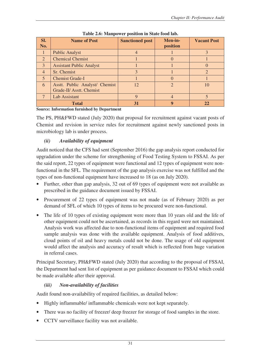| Sl.            | <b>Name of Post</b>             | <b>Sanctioned post</b> | Men-in-               | <b>Vacant Post</b>          |
|----------------|---------------------------------|------------------------|-----------------------|-----------------------------|
| No.            |                                 |                        | position              |                             |
|                | <b>Public Analyst</b>           |                        |                       | $\mathbf{R}$                |
| 2              | <b>Chemical Chemist</b>         |                        |                       |                             |
| 3              | <b>Assistant Public Analyst</b> |                        |                       |                             |
| $\overline{4}$ | Sr. Chemist                     | 3                      |                       | $\mathcal{D}_{\mathcal{A}}$ |
| $\overline{5}$ | <b>Chemist Grade-I</b>          |                        |                       |                             |
| 6              | Asstt. Public Analyst/ Chemist  | 12                     | $\mathcal{D}_{\cdot}$ | 10                          |
|                | Grade-II/ Asstt. Chemist        |                        |                       |                             |
|                | Lab Assistant                   | 9                      |                       |                             |
|                | <b>Total</b>                    | 31                     | g                     | 22                          |

#### **Table 2.6: Manpower position in State food lab.**

**Source: Information furnished by Department** 

The PS, PH&FWD stated (July 2020) that proposal for recruitment against vacant posts of Chemist and revision in service rules for recruitment against newly sanctioned posts in microbiology lab is under process.

# *(ii) Availability of equipment*

Audit noticed that the CFS had sent (September 2016) the gap analysis report conducted for upgradation under the scheme for strengthening of Food Testing System to FSSAI. As per the said report, 22 types of equipment were functional and 12 types of equipment were nonfunctional in the SFL. The requirement of the gap analysis exercise was not fulfilled and the types of non-functional equipment have increased to 18 (as on July 2020).

- Further, other than gap analysis, 32 out of 69 types of equipment were not available as prescribed in the guidance document issued by FSSAI.
- Procurement of 22 types of equipment was not made (as of February 2020) as per demand of SFL of which 10 types of items to be procured were non-functional.
- The life of 10 types of existing equipment were more than 10 years old and the life of other equipment could not be ascertained, as records in this regard were not maintained. Analysis work was affected due to non-functional items of equipment and required food sample analysis was done with the available equipment. Analysis of food additives, cloud points of oil and heavy metals could not be done. The usage of old equipment would affect the analysis and accuracy of result which is reflected from huge variation in referral cases.

Principal Secretary, PH&FWD stated (July 2020) that according to the proposal of FSSAI, the Department had sent list of equipment as per guidance document to FSSAI which could be made available after their approval.

# *(iii) Non-availability of facilities*

Audit found non-availability of required facilities, as detailed below:

- Highly inflammable/ inflammable chemicals were not kept separately.
- There was no facility of freezer/ deep freezer for storage of food samples in the store.
- CCTV surveillance facility was not available.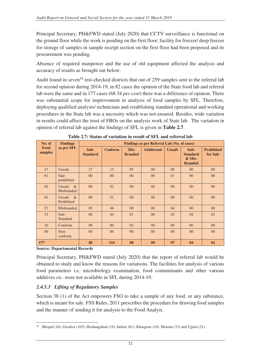Principal Secretary, PH&FWD stated (July 2020) that CCTV surveillance is functional on the ground floor while the work is pending on the first floor; facility for freezer/ deep freezer for storage of samples in sample receipt section on the first floor had been proposed and its procurement was pending.

Absence of required manpower and the use of old equipment affected the analysis and accuracy of results as brought out below:

Audit found in seven<sup>42</sup> test-checked districts that out of 259 samples sent to the referral lab for second opinion during 2014-19, in 82 cases the opinion of the State food lab and referral lab were the same and in 177 cases (68.34 *per cent*) there was a difference of opinion. There was substantial scope for improvement in analysis of food samples by SFL. Therefore, deploying qualified analysts/ technicians and establishing standard operational and working procedures in the State lab was a necessity which was not ensured. Besides, wide variation in results could affect the trust of FBOs on the analysis work of State lab. The variation in opinion of referral lab against the findings of SFL is given in **Table 2.7**.

| No. of          | <b>Findings</b>                  | Findings as per Referral Lab (No. of cases) |                |                        |                   |                |                                                       |                               |  |
|-----------------|----------------------------------|---------------------------------------------|----------------|------------------------|-------------------|----------------|-------------------------------------------------------|-------------------------------|--|
| Food<br>samples | as per SFL                       | Sub-<br><b>Standard</b>                     | <b>Conform</b> | Mis-<br><b>Branded</b> | <b>Adulterant</b> | <b>Unsafe</b>  | Sub-<br><b>Standard</b><br>$&$ Mis-<br><b>Branded</b> | <b>Prohibited</b><br>for Sale |  |
| 47              | Unsafe                           | 27                                          | 15             | 05                     | $00\,$            | 0 <sup>0</sup> | $00\,$                                                | 00 <sup>°</sup>               |  |
| 01              | Sale<br>prohibited               | 00 <sup>°</sup>                             | $00\,$         | $00\,$                 | $00\,$            | 01             | $00\,$                                                | $00\,$                        |  |
| 02              | $\&$<br>Unsafe<br>Misbranded     | 00 <sup>°</sup>                             | 02             | $00\,$                 | $00\,$            | 0 <sup>0</sup> | $00\,$                                                | $00\,$                        |  |
| 01              | Unsafe<br>$\alpha$<br>Prohibited | 00 <sup>°</sup>                             | 01             | $00\,$                 | $00\,$            | 0 <sup>0</sup> | $00\,$                                                | $00\,$                        |  |
| 57              | Misbranded                       | 05                                          | 48             | $00\,$                 | $00\,$            | 04             | $00\,$                                                | 00 <sup>°</sup>               |  |
| 53              | $Sub-$<br><b>Standard</b>        | 00 <sup>°</sup>                             | 44             | 01                     | $00\,$            | 02             | 04                                                    | 02                            |  |
| 10              | Conform                          | 08                                          | $00\,$         | 02                     | $00\,$            | 0 <sup>0</sup> | $00\,$                                                | $00\,$                        |  |
| 06              | Non-<br>conform                  | 00 <sup>°</sup>                             | 06             | $00\,$                 | $00\,$            | 0 <sup>0</sup> | $00\,$                                                | 00 <sup>°</sup>               |  |
| 177             |                                  | 40                                          | 116            | 08                     | $\bf{00}$         | 07             | 04                                                    | 02                            |  |

**Table 2.7: Status of variation in result of SFL and referral lab**

**Source: Departmental Records** 

Principal Secretary, PH&FWD stated (July 2020) that the report of referral lab would be obtained to study and know the reasons for variations. The facilities for analysis of various food parameters i.e. microbiology examination, food contaminants and other various additives *etc*. were not available in SFL during 2014-19.

# *2.4.5.3 Lifting of Regulatory Samples*

Section 38 (1) of the Act empowers FSO to take a sample of any food, or any substance, which is meant for sale. FSS Rules, 2011 prescribes the procedure for drawing food samples and the manner of sending it for analysis to the Food Analyst.

 $\overline{a}$ <sup>42</sup> Bhopal (10), Gwalior (105), Hoshangabad (19), Indore (61), Khargone (10), Morena (33) and Ujjain (21).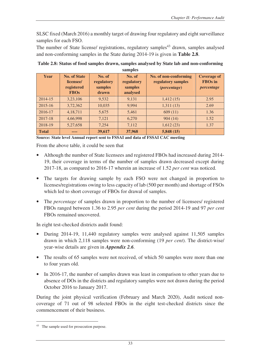SLSC fixed (March 2016) a monthly target of drawing four regulatory and eight surveillance samples for each FSO.

The number of State license/ registrations, regulatory samples<sup>43</sup> drawn, samples analysed and non-conforming samples in the State during 2014-19 is given in **Table 2.8**.

| samples      |                                                               |                                          |                                             |                                                                    |                                                    |  |  |  |
|--------------|---------------------------------------------------------------|------------------------------------------|---------------------------------------------|--------------------------------------------------------------------|----------------------------------------------------|--|--|--|
| <b>Year</b>  | <b>No. of State</b><br>licensee/<br>registered<br><b>FBOs</b> | No. of<br>regulatory<br>samples<br>drawn | No. of<br>regulatory<br>samples<br>analysed | No. of non-conforming<br>regulatory samples<br><i>(percentage)</i> | <b>Coverage of</b><br><b>FBOs</b> in<br>percentage |  |  |  |
| 2014-15      | 3,23,106                                                      | 9,532                                    | 9,131                                       | 1,412(15)                                                          | 2.95                                               |  |  |  |
| $2015 - 16$  | 3,72,362                                                      | 10,035                                   | 9,994                                       | 1,311(13)                                                          | 2.69                                               |  |  |  |
| 2016-17      | 4,18,711                                                      | 5,675                                    | 5,461                                       | 609(11)                                                            | 1.36                                               |  |  |  |
| 2017-18      | 4,66,998                                                      | 7,121                                    | 6,270                                       | 904(14)                                                            | 1.52                                               |  |  |  |
| 2018-19      | 5,27,658                                                      | 7,254                                    | 7,112                                       | 1,612(23)                                                          | 1.37                                               |  |  |  |
| <b>Total</b> | ----                                                          | 39,617                                   | 37,968                                      | 5,848(15)                                                          |                                                    |  |  |  |

**Table 2.8: Status of food samples drawn, samples analysed by State lab and non-conforming** 

**Source: State level Annual report sent to FSSAI and data of FSSAI CAC meeting**

From the above table, it could be seen that

- Although the number of State licensees and registered FBOs had increased during 2014- 19, their coverage in terms of the number of samples drawn decreased except during 2017-18, as compared to 2016-17 wherein an increase of 1.52 *per cent* was noticed.
- The targets for drawing sample by each FSO were not changed in proportion to licenses/registrations owing to less capacity of lab (500 per month) and shortage of FSOs which led to short coverage of FBOs for drawal of samples.
- The *percentage* of samples drawn in proportion to the number of licensees/ registered FBOs ranged between 1.36 to 2.95 *per cent* during the period 2014-19 and 97 *per cent* FBOs remained uncovered.

In eight test-checked districts audit found:

- During 2014-19, 11,440 regulatory samples were analysed against 11,505 samples drawn in which 2,118 samples were non-conforming (19 *per cent*). The district-wise/ year-wise details are given in *Appendix 2.6.*
- The results of 65 samples were not received, of which 50 samples were more than one to four years old.
- In 2016-17, the number of samples drawn was least in comparison to other years due to absence of DOs in the districts and regulatory samples were not drawn during the period October 2016 to January 2017.

During the joint physical verification (February and March 2020), Audit noticed noncoverage of 71 out of 98 selected FBOs in the eight test-checked districts since the commencement of their business.

 $\overline{a}$ 

<sup>&</sup>lt;sup>43</sup> The sample used for prosecution purpose.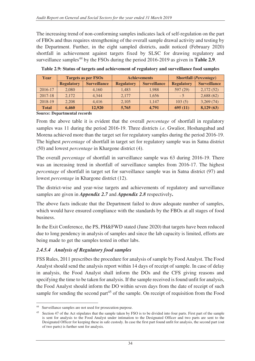The increasing trend of non-conforming samples indicates lack of self-regulation on the part of FBOs and thus requires strengthening of the overall sample drawal activity and testing by the Department. Further, in the eight sampled districts, audit noticed (February 2020) shortfall in achievement against targets fixed by SLSC for drawing regulatory and surveillance samples<sup>44</sup> by the FSOs during the period  $2016-2019$  as given in **Table 2.9**.

| Year         | <b>Targets as per FSOs</b> |                     |                   | <b>Achievements</b> | <b>Shortfall</b> ( <i>Percentage</i> ) |                     |
|--------------|----------------------------|---------------------|-------------------|---------------------|----------------------------------------|---------------------|
|              | <b>Regulatory</b>          | <b>Surveillance</b> | <b>Regulatory</b> | <b>Surveillance</b> | <b>Regulatory</b>                      | <b>Surveillance</b> |
| 2016-17      | 2.080                      | 4.160               | 1.483             | 1,988               | 597(29)                                | 2,172(52)           |
| 2017-18      | 2.172                      | 4.344               | 2.177             | 1,656               | $-5$                                   | 2,688(62)           |
| 2018-19      | 2.208                      | 4.416               | 2.105             | 1.147               | 103(5)                                 | 3,269(74)           |
| <b>Total</b> | 6.460                      | 12,920              | 5,765             | 4.791               | 695(11)                                | 8,129(63)           |

**Table 2.9: Status of targets and achievement of regulatory and surveillance food samples** 

**Source: Departmental records** 

From the above table it is evident that the overall *percentage* of shortfall in regulatory samples was 11 during the period 2016-19. Three districts *i.e*. Gwalior, Hoshangabad and Morena achieved more than the target set for regulatory samples during the period 2016-19. The highest *percentage* of shortfall in target set for regulatory sample was in Satna district (50) and lowest *percentage* in Khargone district (4).

The overall *percentage* of shortfall in surveillance sample was 63 during 2016-19. There was an increasing trend in shortfall of surveillance samples from 2016-17. The highest *percentage* of shortfall in target set for surveillance sample was in Satna district (97) and lowest *percentage* in Khargone district (12).

The district-wise and year-wise targets and achievements of regulatory and surveillance samples are given in *Appendix 2.7* and *Appendix 2.8* respectively**.**

The above facts indicate that the Department failed to draw adequate number of samples, which would have ensured compliance with the standards by the FBOs at all stages of food business.

In the Exit Conference, the PS, PH&FWD stated (June 2020) that targets have been reduced due to long pendency in analysis of samples and since the lab capacity is limited, efforts are being made to get the samples tested in other labs.

#### *2.4.5.4 Analysis of Regulatory food samples*

FSS Rules, 2011 prescribes the procedure for analysis of sample by Food Analyst. The Food Analyst should send the analysis report within 14 days of receipt of sample. In case of delay in analysis, the Food Analyst shall inform the DOs and the CFS giving reasons and specifying the time to be taken for analysis. If the sample received is found unfit for analysis, the Food Analyst should inform the DO within seven days from the date of receipt of such sample for sending the second part<sup>45</sup> of the sample. On receipt of requisition from the Food

 $\overline{a}$ <sup>44</sup> Surveillance samples are not used for prosecution purpose.

<sup>&</sup>lt;sup>45</sup> Section 47 of the Act stipulates that the sample taken by FSO is to be divided into four parts. First part of the sample is sent for analysis to the Food Analyst under intimation to the Designated Officer and two parts are sent to the Designated Officer for keeping these in safe custody. In case the first part found unfit for analysis, the second part (out of two parts) is further sent for analysis.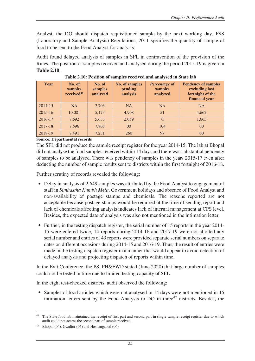Analyst, the DO should dispatch requisitioned sample by the next working day. FSS (Laboratory and Sample Analysis) Regulations, 2011 specifies the quantity of sample of food to be sent to the Food Analyst for analysis.

Audit found delayed analysis of samples in SFL in contravention of the provision of the Rules. The position of samples received and analysed during the period 2015-19 is given in **Table 2.10**.

| Year        | No. of<br>samples<br>received <sup>46</sup> | No. of<br>samples<br>analyzed | <b>No. of samples</b><br>pending<br>analysis | Percentage of<br>samples<br>analyzed | <b>Pendency of samples</b><br>excluding last<br>fortnight of the<br>financial year |
|-------------|---------------------------------------------|-------------------------------|----------------------------------------------|--------------------------------------|------------------------------------------------------------------------------------|
| 2014-15     | <b>NA</b>                                   | 2,703                         | <b>NA</b>                                    | <b>NA</b>                            | <b>NA</b>                                                                          |
| $2015 - 16$ | 10,081                                      | 5,173                         | 4,908                                        | 51                                   | 4,662                                                                              |
| 2016-17     | 7,692                                       | 5,633                         | 2,059                                        | 73                                   | 1,665                                                                              |
| 2017-18     | 7.596                                       | 7,868                         | 0 <sup>0</sup>                               | 104                                  | 0 <sup>0</sup>                                                                     |
| 2018-19     | 7,491                                       | 7,231                         | 260                                          | 97                                   | 0 <sup>0</sup>                                                                     |

**Table 2.10: Position of samples received and analysed in State lab** 

#### **Source: Departmental records**

The SFL did not produce the sample receipt register for the year 2014-15. The lab at Bhopal did not analyse the food samples received within 14 days and there was substantial pendency of samples to be analysed. There was pendency of samples in the years 2015-17 even after deducting the number of sample results sent to districts within the first fortnight of 2016-18.

Further scrutiny of records revealed the following:

- Delay in analysis of 2,649 samples was attributed by the Food Analyst to engagement of staff in *Simhastha Kumbh Mela*, Government holidays and absence of Food Analyst and non-availability of postage stamps and chemicals. The reasons reported are not acceptable because postage stamps would be required at the time of sending report and lack of chemicals affecting analysis indicates lack of internal management at CFS level. Besides, the expected date of analysis was also not mentioned in the intimation letter.
- Further, in the testing dispatch register, the serial number of 15 reports in the year 2014-15 were entered twice, 14 reports during 2014-16 and 2017-19 were not allotted any serial number and entries of 49 reports were provided separate serial numbers on separate dates on different occasions during 2014-15 and 2016-19. Thus, the result of entries were made in the testing dispatch register in a manner that would appear to avoid detection of delayed analysis and projecting dispatch of reports within time.

In the Exit Conference, the PS, PH&FWD stated (June 2020) that large number of samples could not be tested in time due to limited testing capacity of SFL.

In the eight test-checked districts, audit observed the following:

• Samples of food articles which were not analysed in 14 days were not mentioned in 15 intimation letters sent by the Food Analysts to DO in three $47$  districts. Besides, the

 $\overline{a}$ <sup>46</sup> The State food lab maintained the receipt of first part and second part in single sample receipt register due to which audit could not access the second part of sample received.

Bhopal (04), Gwalior (05) and Hoshangabad (06).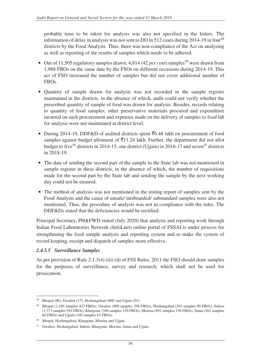probable time to be taken for analysis was also not specified in the letters. The information of delay in analysis was not sent to DO in 512 cases during  $2014-19$  in four<sup>48</sup> districts by the Food Analysts. Thus, there was non-compliance of the Act on analysing as well as reporting of the results of samples which needs to be adhered.

- Out of 11,505 regulatory samples drawn, 4,814 (42 *per cent*) samples<sup>49</sup> were drawn from 1,988 FBOs on the same date by the FSOs on different occasions during 2014-19. This act of FSO increased the number of samples but did not cover additional number of FBOs.
- Quantity of sample drawn for analysis was not recorded in the sample register maintained in the districts, in the absence of which, audit could not verify whether the prescribed quantity of sample of food was drawn for analysis. Besides, records relating to quantity of food samples, other preservative materials procured and expenditure incurred on such procurement and expenses made on the delivery of samples to food lab for analysis were not maintained at district level.
- During 2014-19, DDF&D of audited districts spent  $\bar{c}$ 6.48 lakh on procurement of food samples against budget allotment of  $\bar{\tau}$ 11.24 lakh. Further, the department did not allot budget to five<sup>50</sup> districts in 2014-15, one district (Ujjain) in 2016-17 and seven<sup>51</sup> districts in 2018-19.
- The date of sending the second part of the sample to the State lab was not mentioned in sample register in these districts, in the absence of which, the number of requisitions made for the second part by the State lab and sending the sample by the next working day could not be ensured.
- The method of analysis was not mentioned in the testing report of samples sent by the Food Analysts and the cause of unsafe/ misbranded/ substandard samples were also not mentioned. Thus, the procedure of analysis was not in compliance with the rules. The DDF&Ds stated that the deficiencies would be rectified.

Principal Secretary, PH&FWD stated (July 2020) that analysis and reporting work through Indian Food Laboratories Network (InfoLnet) online portal of FSSAI is under process for strengthening the food sample analysis and reporting system and to make the system of record keeping, receipt and dispatch of samples more effective.

#### *2.4.5.5 Surveillance Samples*

As per provision of Rule 2.1.3(4) (iii) (d) of FSS Rules, 2011 the FSO should draw samples for the purposes of surveillance, survey and research, which shall not be used for prosecution.

 $\overline{a}$ <sup>48</sup> Bhopal (06), Gwalior (17), Hoshangabad (488) and Ujjain (01).

<sup>49</sup> Bhopal (1,189 samples 423 FBOs), Gwalior (899 samples 398 FBOs), Hoshangabad (201 samples 99 FBOs), Indore (1,373 samples 591 FBOs), Khargone (349 samples 150 FBOs), Morena (492 samples 198 FBOs), Satna (162 samples 66 FBOs) and Ujjain (149 samples 63 FBOs).

<sup>50</sup> Bhopal, Hoshangabad, Khargone, Morena and Ujjain.

<sup>51</sup> Gwalior, Hoshangabad, Indore, Khargone, Morena, Satna and Ujjain.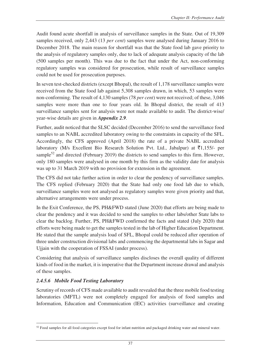Audit found acute shortfall in analysis of surveillance samples in the State. Out of 19,309 samples received, only 2,443 (13 *per cent*) samples were analysed during January 2016 to December 2018. The main reason for shortfall was that the State food lab gave priority to the analysis of regulatory samples only, due to lack of adequate analysis capacity of the lab (500 samples per month). This was due to the fact that under the Act, non-conforming regulatory samples was considered for prosecution, while result of surveillance samples could not be used for prosecution purposes.

In seven test-checked districts (except Bhopal), the result of 1,178 surveillance samples were received from the State food lab against 5,308 samples drawn, in which, 53 samples were non-conforming. The result of 4,130 samples (78 *per cent*) were not received; of these, 3,046 samples were more than one to four years old. In Bhopal district, the result of 413 surveillance samples sent for analysis were not made available to audit. The district-wise/ year-wise details are given in *Appendix 2.9.* 

Further, audit noticed that the SLSC decided (December 2016) to send the surveillance food samples to an NABL accredited laboratory owing to the constraints in capacity of the SFL. Accordingly, the CFS approved (April 2018) the rate of a private NABL accredited laboratory (M/s Excellent Bio Research Solution Pvt. Ltd., Jabalpur) at  $\bar{\tau}$ 1,155/- per sample<sup>52</sup> and directed (February 2019) the districts to send samples to this firm. However, only 180 samples were analysed in one month by this firm as the validity date for analysis was up to 31 March 2019 with no provision for extension in the agreement.

The CFS did not take further action in order to clear the pendency of surveillance samples. The CFS replied (February 2020) that the State had only one food lab due to which, surveillance samples were not analysed as regulatory samples were given priority and that, alternative arrangements were under process.

In the Exit Conference, the PS, PH&FWD stated (June 2020) that efforts are being made to clear the pendency and it was decided to send the samples to other labs/other State labs to clear the backlog. Further, PS, PH&FWD confirmed the facts and stated (July 2020) that efforts were being made to get the samples tested in the lab of Higher Education Department. He stated that the sample analysis load of SFL, Bhopal could be reduced after operation of three under construction divisional labs and commencing the departmental labs in Sagar and Ujjain with the cooperation of FSSAI (under process).

Considering that analysis of surveillance samples discloses the overall quality of different kinds of food in the market, it is imperative that the Department increase drawal and analysis of these samples.

# *2.4.5.6 Mobile Food Testing Laboratory*

 $\overline{a}$ 

Scrutiny of records of CFS made available to audit revealed that the three mobile food testing laboratories (MFTL) were not completely engaged for analysis of food samples and Information, Education and Communication (IEC) activities (surveillance and creating

 $52$  Food samples for all food categories except food for infant nutrition and packaged drinking water and mineral water.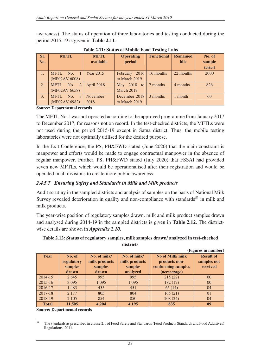awareness). The status of operation of three laboratories and testing conducted during the period 2015-19 is given in **Table 2.11**.

| SI. | <b>MFTL</b>                   | <b>MFTL</b>      | <b>Operating</b> | <b>Functional</b> | <b>Remained</b> | No. of |
|-----|-------------------------------|------------------|------------------|-------------------|-----------------|--------|
| No. |                               | available        | period           |                   | idle            | sample |
|     |                               |                  |                  |                   |                 | tested |
| 1.  | <b>MFTL</b><br>$\sqrt{N_0}$ 1 | <b>Year 2015</b> | February 2016    | 16 months         | 22 months       | 2000   |
|     | (MP02AV 6008)                 |                  | to March 2019    |                   |                 |        |
| 2.  | MFTL No. 2                    | April 2018       | May 2018 to      | 7 months          | 4 months        | 826    |
|     | (MP02AV 6658)                 |                  | March 2019       |                   |                 |        |
| 3.  | MFTL.<br>No.<br>$\mathcal{E}$ | November         | December 2018    | 3 months          | 1 month         | 60     |
|     | (MP02AV 6982)                 | 2018             | to March 2019    |                   |                 |        |

**Table 2.11: Status of Mobile Food Testing Labs**

**Source: Departmental records**

The MFTL No.1 was not operated according to the approved programme from January 2017 to December 2017, for reasons not on record. In the test-checked districts, the MFTLs were not used during the period 2015-19 except in Satna district. Thus, the mobile testing laboratories were not optimally utilised for the desired purpose.

In the Exit Conference, the PS, PH&FWD stated (June 2020) that the main constraint is manpower and efforts would be made to engage contractual manpower in the absence of regular manpower. Further, PS, PH&FWD stated (July 2020) that FSSAI had provided seven new MFTLs, which would be operationalised after their registration and would be operated in all divisions to create more public awareness.

#### *2.4.5.7 Ensuring Safety and Standards in Milk and Milk products*

Audit scrutiny in the sampled districts and analysis of samples on the basis of National Milk Survey revealed deterioration in quality and non-compliance with standards<sup>53</sup> in milk and milk products.

The year-wise position of regulatory samples drawn, milk and milk product samples drawn and analysed during 2014-19 in the sampled districts is given in **Table 2.12**. The districtwise details are shown in *Appendix 2.10*.

#### **Table 2.12: Status of regulatory samples, milk samples drawn/ analyzed in test-checked districts**

|              |            |               |               |                     | (Figures in number) |
|--------------|------------|---------------|---------------|---------------------|---------------------|
| Year         | No. of     | No. of milk/  | No. of milk/  | No of Milk/ milk    | <b>Result of</b>    |
|              | regulatory | milk products | milk products | products non-       | samples not         |
|              | samples    | samples       | samples       | conforming samples  | received            |
|              | drawn      | drawn         | analyzed      | <i>(percentage)</i> |                     |
| $2014 - 15$  | 2,645      | 995           | 995           | 215(22)             | 00                  |
| $2015 - 16$  | 3,095      | 1,095         | 1,095         | 182(17)             | $00\,$              |
| 2016-17      | 1,483      | 455           | 451           | 65(14)              | 04                  |
| $2017 - 18$  | 2,177      | 805           | 804           | 165(21)             | 01                  |
| 2018-19      | 2,105      | 854           | 850           | 208(24)             | 04                  |
| <b>Total</b> | 11,505     | 4.204         | 4,195         | 835                 | 09                  |

**Source: Departmental records** 

<sup>53</sup> <sup>53</sup> The standards as prescribed in clause 2.1 of Food Safety and Standards (Food Products Standards and Food Additives) Regulations, 2011.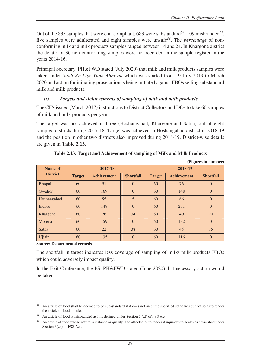Out of the 835 samples that were con-compliant, 683 were substandard<sup>54</sup>, 109 misbranded<sup>55</sup>, five samples were adulterated and eight samples were unsafe<sup>56</sup>. The *percentage* of nonconforming milk and milk products samples ranged between 14 and 24. In Khargone district the details of 30 non-conforming samples were not recorded in the sample register in the years 2014-16.

Principal Secretary, PH&FWD stated (July 2020) that milk and milk products samples were taken under *Sudh Ke Liye Yudh Abhiyan* which was started from 19 July 2019 to March 2020 and action for initiating prosecution is being initiated against FBOs selling substandard milk and milk products.

#### *(i) Targets and Achievements of sampling of milk and milk products*

The CFS issued (March 2017) instructions to District Collectors and DOs to take 60 samples of milk and milk products per year.

The target was not achieved in three (Hoshangabad, Khargone and Satna) out of eight sampled districts during 2017-18. Target was achieved in Hoshangabad district in 2018-19 and the position in other two districts also improved during 2018-19. District-wise details are given in **Table 2.13**.

|                            |               |                    |                  |               |                    | (Figures in number) |  |
|----------------------------|---------------|--------------------|------------------|---------------|--------------------|---------------------|--|
| Name of<br><b>District</b> |               | 2017-18            |                  | 2018-19       |                    |                     |  |
|                            | <b>Target</b> | <b>Achievement</b> | <b>Shortfall</b> | <b>Target</b> | <b>Achievement</b> | <b>Shortfall</b>    |  |
| <b>Bhopal</b>              | 60            | 91                 | $\overline{0}$   | 60            | 76                 | $\theta$            |  |
| Gwalior                    | 60            | 169                | $\overline{0}$   | 60            | 148                | $\overline{0}$      |  |
| Hoshangabad                | 60            | 55                 | 5                | 60            | 66                 | $\overline{0}$      |  |
| Indore                     | 60            | 148                | $\overline{0}$   | 60            | 231                | $\overline{0}$      |  |
| Khargone                   | 60            | 26                 | 34               | 60            | 40                 | 20                  |  |
| Morena                     | 60            | 159                | $\overline{0}$   | 60            | 132                | $\mathbf{0}$        |  |
| Satna                      | 60            | 22                 | 38               | 60            | 45                 | 15                  |  |
| Ujjain                     | 60            | 135                | $\overline{0}$   | 60            | 116                | $\overline{0}$      |  |

#### **Table 2.13: Target and Achievement of sampling of Milk and Milk Products**

**Source: Departmental records**

 $\overline{a}$ 

The shortfall in target indicates less coverage of sampling of milk/ milk products FBOs which could adversely impact quality.

In the Exit Conference, the PS, PH&FWD stated (June 2020) that necessary action would be taken.

<sup>&</sup>lt;sup>54</sup> An article of food shall be deemed to be sub-standard if it does not meet the specified standards but not so as to render the article of food unsafe.

<sup>55</sup> An article of food is misbranded as it is defined under Section 3 (zf) of FSS Act.

<sup>56</sup> An article of food whose nature, substance or quality is so affected as to render it injurious to health as prescribed under Section 3(zz) of FSS Act.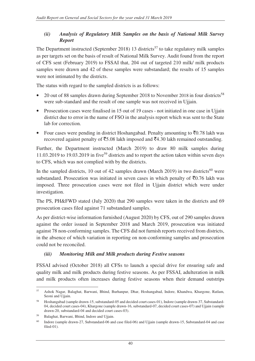# *(ii) Analysis of Regulatory Milk Samples on the basis of National Milk Survey Report*

The Department instructed (September 2018) 13 districts<sup>57</sup> to take regulatory milk samples as per targets set on the basis of result of National Milk Survey. Audit found from the report of CFS sent (February 2019) to FSSAI that, 204 out of targeted 210 milk/ milk products samples were drawn and 42 of these samples were substandard; the results of 15 samples were not intimated by the districts.

The status with regard to the sampled districts is as follows:

- 20 out of 88 samples drawn during September 2018 to November 2018 in four districts<sup>58</sup> were sub-standard and the result of one sample was not received in Ujjain.
- Prosecution cases were finalised in 15 out of 19 cases not initiated in one case in Ujjain district due to error in the name of FSO in the analysis report which was sent to the State lab for correction.
- Four cases were pending in district Hoshangabad. Penalty amounting to  $\bar{\tau}$ 0.78 lakh was recovered against penalty of  $\overline{55.08}$  lakh imposed and  $\overline{54.30}$  lakh remained outstanding.

Further, the Department instructed (March 2019) to draw 80 milk samples during 11.03.2019 to 19.03.2019 in five<sup>59</sup> districts and to report the action taken within seven days to CFS, which was not complied with by the districts.

In the sampled districts, 10 out of 42 samples drawn (March 2019) in two districts<sup>60</sup> were substandard. Prosecution was initiated in seven cases in which penalty of  $\bar{\mathfrak{g}}0.76$  lakh was imposed. Three prosecution cases were not filed in Ujjain district which were under investigation.

The PS, PH&FWD stated (July 2020) that 290 samples were taken in the districts and 69 prosecution cases filed against 71 substandard samples.

As per district-wise information furnished (August 2020) by CFS, out of 290 samples drawn against the order issued in September 2018 and March 2019, prosecution was initiated against 78 non-conforming samples. The CFS did not furnish reports received from districts, in the absence of which variation in reporting on non-conforming samples and prosecution could not be reconciled.

# *(iii) Monitoring Milk and Milk products during Festive seasons*

FSSAI advised (October 2018) all CFSs to launch a special drive for ensuring safe and quality milk and milk products during festive seasons. As per FSSAI, adulteration in milk and milk products often increases during festive seasons when their demand outstrips

 $\overline{a}$ <sup>57</sup> Ashok Nagar, Balaghat, Barwani, Bhind, Burhanpur, Dhar, Hoshangabad, Indore, Khandwa, Khargone, Ratlam, Seoni and Ujjain.

<sup>58</sup> Hoshangabad (sample drawn-15, substandard-05 and decided court cases-01), Indore (sample drawn-37, Substandard-04, decided court cases-04), Khargone (sample drawn-16, substandard-07, decided court cases-07) and Ujjain (sample drawn-20, substandard-04 and decided court cases-03).

<sup>59</sup> Balaghat, Barwani, Bhind, Indore and Ujjain.

<sup>&</sup>lt;sup>60</sup> Indore (sample drawn-27, Substandard-06 and case filed-06) and Ujjain (sample drawn-15, Substandard-04 and case filed-01).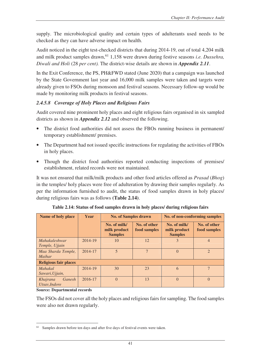supply. The microbiological quality and certain types of adulterants used needs to be checked as they can have adverse impact on health.

Audit noticed in the eight test-checked districts that during 2014-19, out of total 4,204 milk and milk product samples drawn,<sup>61</sup> 1,158 were drawn during festive seasons *i.e. Dussehra*, *Diwali and Holi* (28 *per cent).* The district-wise details are shown in *Appendix 2.11*.

In the Exit Conference, the PS, PH&FWD stated (June 2020) that a campaign was launched by the State Government last year and 16,000 milk samples were taken and targets were already given to FSOs during monsoon and festival seasons. Necessary follow-up would be made by monitoring milk products in festival seasons.

# *2.4.5.8 Coverage of Holy Places and Religious Fairs*

Audit covered nine prominent holy places and eight religious fairs organised in six sampled districts as shown in *Appendix 2.12* and observed the following.

- The district food authorities did not assess the FBOs running business in permanent/ temporary establishment/ premises.
- The Department had not issued specific instructions for regulating the activities of FBOs in holy places.
- Though the district food authorities reported conducting inspections of premises/ establishment, related records were not maintained.

It was not ensured that milk/milk products and other food articles offered as *Prasad* (*Bhog*) in the temples/ holy places were free of adulteration by drawing their samples regularly. As per the information furnished to audit, the status of food samples drawn in holy places/ during religious fairs was as follows **(Table 2.14)**.

| Name of holy place                  | Year    | <b>No. of Samples drawn</b>                                                    |    | No. of non-conforming samples                  |                              |  |  |  |
|-------------------------------------|---------|--------------------------------------------------------------------------------|----|------------------------------------------------|------------------------------|--|--|--|
|                                     |         | No. of milk/<br>No. of other<br>food samples<br>milk product<br><b>Samples</b> |    | No. of milk/<br>milk product<br><b>Samples</b> | No. of other<br>food samples |  |  |  |
| Mahakaleshwar<br>Temple, Ujjain     | 2014-19 | 10                                                                             | 12 | 3                                              | $\overline{4}$               |  |  |  |
| Maa Sharda Temple,<br>Maihar        | 2014-17 |                                                                                | 7  | $\theta$                                       | $\mathfrak{D}$               |  |  |  |
| <b>Religious fair places</b>        |         |                                                                                |    |                                                |                              |  |  |  |
| <i>Mahakal</i><br>Sawari, Ujjain,   | 2014-19 | 30                                                                             | 23 | 6                                              | 7                            |  |  |  |
| Khajrana<br>Ganesh<br>Utsav, Indore | 2016-17 | $\Omega$                                                                       | 13 | $\theta$                                       | $\Omega$                     |  |  |  |

**Table 2.14: Status of food samples drawn in holy places/ during religious fairs** 

**Source: Departmental records** 

The FSOs did not cover all the holy places and religious fairs for sampling. The food samples were also not drawn regularly.

 $\overline{a}$ Samples drawn before ten days and after five days of festival events were taken.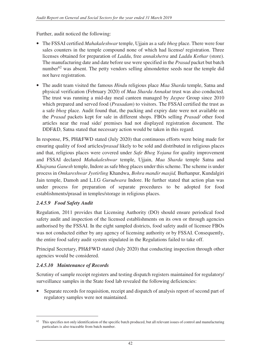Further, audit noticed the following:

- The FSSAI certified *Mahakaleshwar* temple, Ujjain as a safe *bhog* place. There were four sales counters in the temple compound none of which had license/ registration. Three licenses obtained for preparation of *Laddu*, free *annakshetra* and *Laddu Kothar* (store). The manufacturing date and date before use were specified in the *Prasad* packet but batch number<sup>62</sup> was absent. The petty vendors selling almondettee seeds near the temple did not have registration.
- The audit team visited the famous *Hindu* religious place *Maa Sharda* temple, Satna and physical verification (February 2020) of *Maa Sharda Annakut* trust was also conducted. The trust was running a mid-day meal canteen managed by *Jaypee* Group since 2010 which prepared and served food (*Prasadam*) to visitors. The FSSAI certified the trust as a safe *bhog* place. Audit found that, the packing and expiry date were not available on the *Prasad* packets kept for sale in different shops. FBOs selling *Prasad/* other food articles near the road side/ premises had not displayed registration document. The DDF&D, Satna stated that necessary action would be taken in this regard.

In response, PS, PH&FWD stated (July 2020) that continuous efforts were being made for ensuring quality of food articles*/prasad* likely to be sold and distributed in religious places and that, religious places were covered under *Safe Bhog Yojana* for quality improvement and FSSAI declared *Mahakaleshwar* temple, Ujjain, *Maa Sharda* temple Satna and *Khajrana Ganesh* temple, Indore as safe bhog places under this scheme. The scheme is under process in *Omkareshwar Jyotirling* Khandwa, *Bohra mandir masjid,* Burhanpur, Kundalgiri Jain temple, Damoh and L.I.G *Gurudwara* Indore. He further stated that action plan was under process for preparation of separate procedures to be adopted for food establishments/prasad in temples/storage in religious places.

# *2.4.5.9 Food Safety Audit*

Regulation, 2011 provides that Licensing Authority (DO) should ensure periodical food safety audit and inspection of the licensed establishments on its own or through agencies authorised by the FSSAI. In the eight sampled districts, food safety audit of licensee FBOs was not conducted either by any agency of licensing authority or by FSSAI. Consequently, the entire food safety audit system stipulated in the Regulations failed to take off.

Principal Secretary, PH&FWD stated (July 2020) that conducting inspection through other agencies would be considered.

#### *2.4.5.10 Maintenance of Records*

 $\overline{a}$ 

Scrutiny of sample receipt registers and testing dispatch registers maintained for regulatory/ surveillance samples in the State food lab revealed the following deficiencies:

Separate records for requisition, receipt and dispatch of analysis report of second part of regulatory samples were not maintained.

 $62$  This specifies not only identification of the specific batch produced, but all relevant issues of control and manufacturing particulars is also traceable from batch number.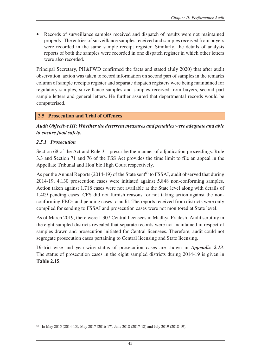Records of surveillance samples received and dispatch of results were not maintained properly. The entries of surveillance samples received and samples received from buyers were recorded in the same sample receipt register. Similarly, the details of analysis reports of both the samples were recorded in one dispatch register in which other letters were also recorded.

Principal Secretary, PH&FWD confirmed the facts and stated (July 2020) that after audit observation, action was taken to record information on second part of samples in the remarks column of sample receipts register and separate dispatch registers were being maintained for regulatory samples, surveillance samples and samples received from buyers, second part sample letters and general letters. He further assured that departmental records would be computerised.

#### **2.5 Prosecution and Trial of Offences**

*Audit Objective III: Whether the deterrent measures and penalties were adequate and able to ensure food safety.* 

#### *2.5.1 Prosecution*

Section 68 of the Act and Rule 3.1 prescribe the manner of adjudication proceedings. Rule 3.3 and Section 71 and 76 of the FSS Act provides the time limit to file an appeal in the Appellate Tribunal and Hon'ble High Court respectively.

As per the Annual Reports (2014-19) of the State sent<sup>63</sup> to FSSAI, audit observed that during 2014-19, 4,130 prosecution cases were initiated against 5,848 non-conforming samples. Action taken against 1,718 cases were not available at the State level along with details of 1,409 pending cases. CFS did not furnish reasons for not taking action against the nonconforming FBOs and pending cases to audit. The reports received from districts were only compiled for sending to FSSAI and prosecution cases were not monitored at State level.

As of March 2019, there were 1,307 Central licensees in Madhya Pradesh. Audit scrutiny in the eight sampled districts revealed that separate records were not maintained in respect of samples drawn and prosecution initiated for Central licensees. Therefore, audit could not segregate prosecution cases pertaining to Central licensing and State licensing.

District-wise and year-wise status of prosecution cases are shown in *Appendix 2.13.* The status of prosecution cases in the eight sampled districts during 2014-19 is given in **Table 2.15**.

 $\overline{a}$ 63 In May 2015 (2014-15), May 2017 (2016-17), June 2018 (2017-18) and July 2019 (2018-19).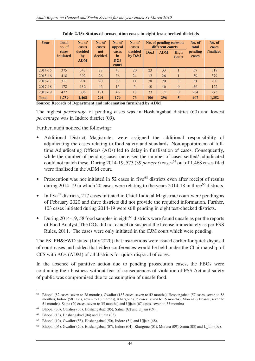| Year         | <b>Total</b><br>no. of | No. of<br>cases             | No. of<br>cases | No. of<br>appeal            | No. of<br>cases     | No. of pending cases in<br>different courts |            | No. of<br>No. of<br>total<br>cases |                  |           |
|--------------|------------------------|-----------------------------|-----------------|-----------------------------|---------------------|---------------------------------------------|------------|------------------------------------|------------------|-----------|
|              | cases<br>initiated     | decided<br>by<br><b>ADM</b> | not<br>decided  | cases<br>in<br>D&J<br>court | decided<br>by $D&J$ | D&J                                         | <b>ADM</b> | High<br><b>Court</b>               | pending<br>cases | finalized |
| 2014-15      | 375                    | 347                         | 28              | 43                          | 20                  | 23                                          | 33         |                                    | 57               | 318       |
| $2015 - 16$  | 418                    | 392                         | 26              | 36                          | 24                  | 12                                          | 26         |                                    | 39               | 379       |
| 2016-17      | 311                    | 291                         | 20              | 39                          | 11                  | 28                                          | 20         | 3                                  | 51               | 260       |
| 2017-18      | 178                    | 132                         | 46              | 15                          | 5                   | 10                                          | 46         | $\Omega$                           | 56               | 122       |
| 2018-19      | 477                    | 306                         | 171             | 46                          | 13                  | 33                                          | 171        | $\Omega$                           | 204              | 273       |
| <b>Total</b> | 1,759                  | 1,468                       | 291             | 179                         | 73                  | 106                                         | 296        | 5                                  | 407              | 1,352     |

**Table 2.15: Status of prosecution cases in eight test-checked districts** 

**Source: Records of Department and information furnished by ADM** 

The highest *percentage* of pending cases was in Hoshangabad district (60) and lowest *percentage* was in Indore district (09).

Further, audit noticed the following:

- Additional District Magistrates were assigned the additional responsibility of adjudicating the cases relating to food safety and standards. Non-appointment of fulltime Adjudicating Officers (AOs) led to delay in finalisation of cases. Consequently, while the number of pending cases increased the number of cases settled/ adjudicated could not match these. During 2014-19, 573 (39 *per cent*) cases<sup>64</sup> out of 1,468 cases filed were finalised in the ADM court.
- Prosecution was not initiated in 52 cases in five<sup> $65$ </sup> districts even after receipt of results during 2014-19 in which 20 cases were relating to the years  $2014-18$  in three<sup>66</sup> districts.
- In five<sup>67</sup> districts, 217 cases initiated in Chief Judicial Magistrate court were pending as of February 2020 and three districts did not provide the required information. Further, 103 cases initiated during 2014-19 were still pending in eight test-checked districts.
- During 2014-19, 58 food samples in eight<sup>68</sup> districts were found unsafe as per the reports of Food Analyst. The DOs did not cancel or suspend the license immediately as per FSS Rules, 2011. The cases were only initiated in the CJM court which were pending.

The PS, PH&FWD stated (July 2020) that instructions were issued earlier for quick disposal of court cases and added that video conferences would be held under the Chairmanship of CFS with AOs (ADM) of all districts for quick disposal of cases.

In the absence of punitive action due to pending prosecution cases, the FBOs were continuing their business without fear of consequences of violation of FSS Act and safety of public was compromised due to consumption of unsafe food.

 $\overline{a}$ <sup>64</sup> Bhopal (82 cases, seven to 28 months), Gwalior (183 cases, seven to 42 months), Hoshangabad (57 cases, seven to 58 months), Indore (58 cases, seven to 18 months), Khargone (35 cases, seven to 15 months), Morena (71 cases, seven to 51 months), Satna (20 cases, seven to 35 months) and Ujjain (67 cases, seven to 55 months)

 $65$  Bhopal (30), Gwalior (06), Hoshangabad (05), Satna (02) and Ujjain (09).

 $66$  Bhopal (13), Hoshangabad (04) and Ujjain (03).

 $67$  Bhopal (10), Gwalior (58), Hoshangabad (50), Indore (51) and Ujjain (48).

<sup>68</sup> Bhopal (05), Gwalior (20), Hoshangabad (07), Indore (04), Khargone (01), Morena (09), Satna (03) and Ujjain (09).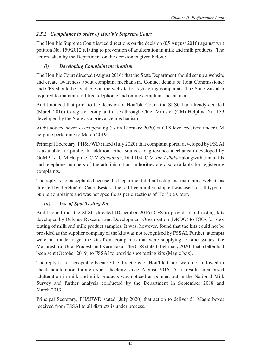# *2.5.2 Compliance to order of Hon'ble Supreme Court*

The Hon'ble Supreme Court issued directions on the decision (05 August 2016) against writ petition No. 159/2012 relating to prevention of adulteration in milk and milk products. The action taken by the Department on the decision is given below:

# *(i) Developing Complaint mechanism*

The Hon'ble Court directed (August 2016) that the State Department should set up a website and create awareness about complaint mechanism. Contact details of Joint Commissioner and CFS should be available on the website for registering complaints. The State was also required to maintain toll free telephonic and online complaint mechanism.

Audit noticed that prior to the decision of Hon'ble Court, the SLSC had already decided (March 2016) to register complaint cases through Chief Minister (CM) Helpline No. 139 developed by the State as a grievance mechanism.

Audit noticed seven cases pending (as on February 2020) at CFS level received under CM helpline pertaining to March 2019.

Principal Secretary, PH&FWD stated (July 2020) that complaint portal developed by FSSAI is available for public. In addition, other sources of grievance mechanism developed by GoMP *i.e*. C.M Helpline, C.M *Samadhan*, Dial 104, C.M *Jan Adhikar* alongwith e-mail Ids and telephone numbers of the administration authorities are also available for registering complaints.

The reply is not acceptable because the Department did not setup and maintain a website as directed by the Hon'ble Court. Besides, the toll free number adopted was used for all types of public complaints and was not specific as per directions of Hon'ble Court.

# *(ii) Use of Spot Testing Kit*

Audit found that the SLSC directed (December 2016) CFS to provide rapid testing kits developed by Defence Research and Development Organisation (DRDO) to FSOs for spot testing of milk and milk product samples. It was, however, found that the kits could not be provided as the supplier company of the kits was not recognised by FSSAI. Further, attempts were not made to get the kits from companies that were supplying to other States like Maharashtra, Uttar Pradesh and Karnataka. The CFS stated (February 2020) that a letter had been sent (October 2019) to FSSAI to provide spot testing kits (Magic box).

The reply is not acceptable because the directions of Hon'ble Court were not followed to check adulteration through spot checking since August 2016. As a result, urea based adulteration in milk and milk products was noticed as pointed out in the National Milk Survey and further analysis conducted by the Department in September 2018 and March 2019.

Principal Secretary, PH&FWD stated (July 2020) that action to deliver 51 Magic boxes received from FSSAI to all districts is under process.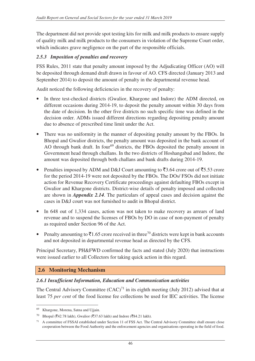The department did not provide spot testing kits for milk and milk products to ensure supply of quality milk and milk products to the consumers in violation of the Supreme Court order, which indicates grave negligence on the part of the responsible officials.

#### *2.5.3 Imposition of penalties and recovery*

FSS Rules, 2011 state that penalty amount imposed by the Adjudicating Officer (AO) will be deposited through demand draft drawn in favour of AO. CFS directed (January 2013 and September 2014) to deposit the amount of penalty in the departmental revenue head.

Audit noticed the following deficiencies in the recovery of penalty:

- In three test-checked districts (Gwalior, Khargone and Indore) the ADM directed, on different occasions during 2014-19, to deposit the penalty amount within 30 days from the date of decision. In the other five districts no such specific time was defined in the decision order. ADMs issued different directions regarding depositing penalty amount due to absence of prescribed time limit under the Act.
- There was no uniformity in the manner of depositing penalty amount by the FBOs. In Bhopal and Gwalior districts, the penalty amount was deposited in the bank account of AO through bank draft. In four<sup>69</sup> districts, the FBOs deposited the penalty amount in Government head through challans. In the two districts of Hoshangabad and Indore, the amount was deposited through both challans and bank drafts during 2014-19.
- Penalties imposed by ADM and D&J Court amounting to  $\overline{53.64}$  crore out of  $\overline{55.53}$  crore for the period 2014-19 were not deposited by the FBOs. The DOs/ FSOs did not initiate action for Revenue Recovery Certificate proceedings against defaulting FBOs except in Gwalior and Khargone districts. District-wise details of penalty imposed and collected are shown in *Appendix 2.14*. The particulars of appeal cases and decision against the cases in D&J court was not furnished to audit in Bhopal district.
- In 648 out of 1,334 cases, action was not taken to make recovery as arrears of land revenue and to suspend the licenses of FBOs by DO in case of non-payment of penalty as required under Section 96 of the Act.
- Penalty amounting to  $\bar{\mathfrak{Z}}1.65$  crore received in three<sup>70</sup> districts were kept in bank accounts and not deposited in departmental revenue head as directed by the CFS.

Principal Secretary, PH&FWD confirmed the facts and stated (July 2020) that instructions were issued earlier to all Collectors for taking quick action in this regard.

#### **2.6 Monitoring Mechanism**

#### *2.6.1 Insufficient Information, Education and Communication activities*

The Central Advisory Committee  $(CAC)^{71}$  in its eighth meeting (July 2012) advised that at least 75 *per cent* of the food license fee collections be used for IEC activities. The license

 $\overline{a}$ 

<sup>69</sup> Khargone, Morena, Satna and Ujjain.

<sup>70</sup> Bhopal ( $\overline{$}42.78$  lakh), Gwalior ( $\overline{$}37.63$  lakh) and Indore ( $\overline{$}84.21$  lakh).

<sup>71</sup> A committee of FSSAI established under Section 11 of FSS Act. The Central Advisory Committee shall ensure close cooperation between the Food Authority and the enforcement agencies and organisations operating in the field of food.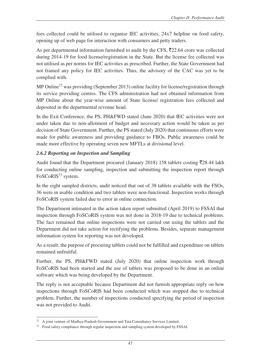fees collected could be utilised to organise IEC activities, 24x7 helpline on food safety, opening up of web page for interaction with consumers and petty traders.

As per departmental information furnished to audit by the CFS,  $\overline{5}22.64$  crore was collected during 2014-19 for food license/registration in the State. But the license fee collected was not utilised as per norms for IEC activities as prescribed. Further, the State Government had not framed any policy for IEC activities. Thus, the advisory of the CAC was yet to be complied with.

MP Online<sup>72</sup> was providing (September 2013) online facility for license/registration through its service providing centres. The CFS administration had not obtained information from MP Online about the year-wise amount of State license/ registration fees collected and deposited in the departmental revenue head.

In the Exit Conference, the PS, PH&FWD stated (June 2020) that IEC activities were not under taken due to non-allotment of budget and necessary action would be taken as per decision of State Government. Further, the PS stated (July 2020) that continuous efforts were made for public awareness and providing guidance to FBOs. Public awareness could be made more effective by operating seven new MFTLs at divisional level.

#### *2.6.2 Reporting on Inspection and Sampling*

Audit found that the Department procured (January 2018) 158 tablets costing  $\overline{5}28.44$  lakh for conducting online sampling, inspection and submitting the inspection report through FoSCoRIS<sup>73</sup> system.

In the eight sampled districts, audit noticed that out of 38 tablets available with the FSOs, 36 were in usable condition and two tablets were non-functional. Inspection works through FoSCoRIS system failed due to error in online connection.

The Department intimated in the action taken report submitted (April 2019) to FSSAI that inspection through FoSCoRIS system was not done in 2018-19 due to technical problems. The fact remained that online inspections were not carried out using the tablets and the Department did not take action for rectifying the problems. Besides, separate management information system for reporting was not developed.

As a result, the purpose of procuring tablets could not be fulfilled and expenditure on tablets remained unfruitful.

Further, the PS, PH&FWD stated (July 2020) that online inspection work through FoSCoRIS had been started and the use of tablets was proposed to be done in an online software which was being developed by the Department.

The reply is not acceptable because Department did not furnish appropriate reply on how inspections through FoSCoRIS had been conducted which was stopped due to technical problem. Further, the number of inspections conducted specifying the period of inspection was not provided to Audit.

 $\overline{a}$ <sup>72</sup> A joint venture of Madhya Pradesh Government and Tata Consultancy Services Limited.

 $73$  Food safety compliance through regular inspection and sampling system developed by FSSAI.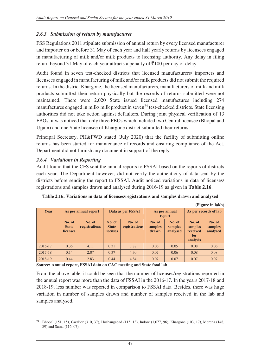### *2.6.3 Submission of return by manufacturer*

FSS Regulations 2011 stipulate submission of annual return by every licensed manufacturer and importer on or before 31 May of each year and half yearly returns by licensees engaged in manufacturing of milk and/or milk products to licensing authority. Any delay in filing return beyond 31 May of each year attracts a penalty of  $\overline{\xi}$ 100 per day of delay.

Audit found in seven test-checked districts that licensed manufacturers/ importers and licensees engaged in manufacturing of milk and/or milk products did not submit the required returns. In the district Khargone, the licensed manufacturers, manufacturers of milk and milk products submitted their return physically but the records of returns submitted were not maintained. There were 2,020 State issued licensed manufactures including 274 manufactures engaged in milk/ milk product in seven<sup>74</sup> test-checked districts. State licensing authorities did not take action against defaulters. During joint physical verification of 13 FBOs, it was noticed that only three FBOs which included two Central licensee (Bhopal and Ujjain) and one State licensee of Khargone district submitted their returns.

Principal Secretary, PH&FWD stated (July 2020) that the facility of submitting online returns has been started for maintenance of records and ensuring compliance of the Act. Department did not furnish any document in support of the reply.

#### *2.6.4 Variations in Reporting*

Audit found that the CFS sent the annual reports to FSSAI based on the reports of districts each year. The Department however, did not verify the authenticity of data sent by the districts before sending the report to FSSAI. Audit noticed variations in data of licenses/ registrations and samples drawn and analysed during 2016-19 as given in **Table 2.16**.

|         |                                           |                         |                                           |                         |                            |                               |                                                  | (Figure in lakh)              |
|---------|-------------------------------------------|-------------------------|-------------------------------------------|-------------------------|----------------------------|-------------------------------|--------------------------------------------------|-------------------------------|
| Year    | As per annual report                      |                         | Data as per FSSAI                         |                         | As per annual<br>report    |                               | As per records of lab                            |                               |
|         | No. of<br><b>State</b><br><b>licenses</b> | No. of<br>registrations | No. of<br><b>State</b><br><b>licenses</b> | No. of<br>registrations | No. of<br>samples<br>drawn | No. of<br>samples<br>analysed | No. of<br>samples<br>received<br>for<br>analysis | No. of<br>samples<br>analysed |
| 2016-17 | 0.36                                      | 4.11                    | 0.31                                      | 3.88                    | 0.06                       | 0.05                          | 0.08                                             | 0.06                          |
| 2017-18 | 0.14                                      | 2.07                    | 0.37                                      | 4.30                    | 0.07                       | 0.06                          | 0.08                                             | 0.08                          |
| 2018-19 | 0.44                                      | 2.83                    | 0.44                                      | 4.84                    | 0.07                       | 0.07                          | 0.07                                             | 0.07                          |

| Table 2.16: Variations in data of licenses/registrations and samples drawn and analysed |  |  |  |  |
|-----------------------------------------------------------------------------------------|--|--|--|--|
|-----------------------------------------------------------------------------------------|--|--|--|--|

**Source: Annual report, FSSAI data on CAC meeting and State food lab** 

From the above table, it could be seen that the number of licenses/registrations reported in the annual report was more than the data of FSSAI in the 2016-17. In the years 2017-18 and 2018-19, less number was reported in comparison to FSSAI data. Besides, there was huge variation in number of samples drawn and number of samples received in the lab and samples analysed.

 $\overline{a}$ <sup>74</sup> Bhopal (151, 15), Gwalior (310, 37), Hoshangabad (115, 13), Indore (1,077, 96), Khargone (103, 17), Morena (148, 89) and Satna (116, 07).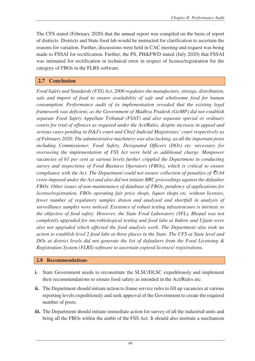The CFS stated (February 2020) that the annual report was compiled on the basis of report of districts. Districts and State food lab would be instructed for clarification to ascertain the reasons for variation. Further, discussions were held in CAC meeting and request was being made to FSSAI for rectification. Further, the PS, PH&FWD stated (July 2020) that FSSAI was intimated for rectification in technical error in respect of license/registration for the category of FBOs in the FLRS software.

# **2.7 Conclusion**

*Food Safety and Standards (FSS) Act, 2006 regulates the manufacture, storage, distribution, sale and import of food to ensure availability of safe and wholesome food for human consumption. Performance audit of its implementation revealed that the existing legal framework was deficient, as the Government of Madhya Pradesh (GoMP) did not establish separate Food Safety Appellate Tribunal (FSAT) and also separate special or ordinary courts for trial of offences as required under the Act/Rules, despite increase in appeal and serious cases pending in D&J's court and Chief Judicial Magistrates' court respectively as of February 2020. The administrative machinery was also lacking, as all the important posts including Commissioner, Food Safety, Designated Officers (DOs) etc. necessary for overseeing the implementation of FSS Act were held as additional charge. Manpower*  vacancies of 61 per cent at various levels further crippled the Department in conducting *survey and inspections of Food Business Operators (FBOs), which is critical to ensure compliance with the Act. The Department could not ensure collection of penalties of* `*3.64 crore imposed under the Act and also did not initiate RRC proceedings against the defaulter FBOs. Other issues of non-maintenance of database of FBOs, pendency of applications for license/registration, FBOs operating fair price shops, liquor shops etc. without licenses, fewer number of regulatory samples drawn and analysed and shortfall in analysis of surveillance samples were noticed. Existence of robust testing infrastructure is intrinsic to the objective of food safety. However, the State Food Laboratory (SFL), Bhopal was not completely upgraded for microbiological testing and food labs at Indore and Ujjain were also not upgraded which affected the food analysis work. The Department also took no action to establish level 2 food labs at three places in the State. The CFS at State level and DOs at district levels did not generate the list of defaulters from the Food Licensing & Registration System (FLRS) software to ascertain expired licenses/ registrations.* 

#### **2.8 Recommendations**

- **i.** State Government needs to reconstitute the SLSC/DLSC expeditiously and implement their recommendations to ensure food safety as intended in the Act/Rules etc.
- ii. The Department should initiate action to frame service rules to fill up vacancies at various reporting levels expeditiously and seek approval of the Government to create the required number of posts.
- **iii.** The Department should initiate immediate action for survey of all the industrial units and bring all the FBOs within the ambit of the FSS Act. It should also institute a mechanism